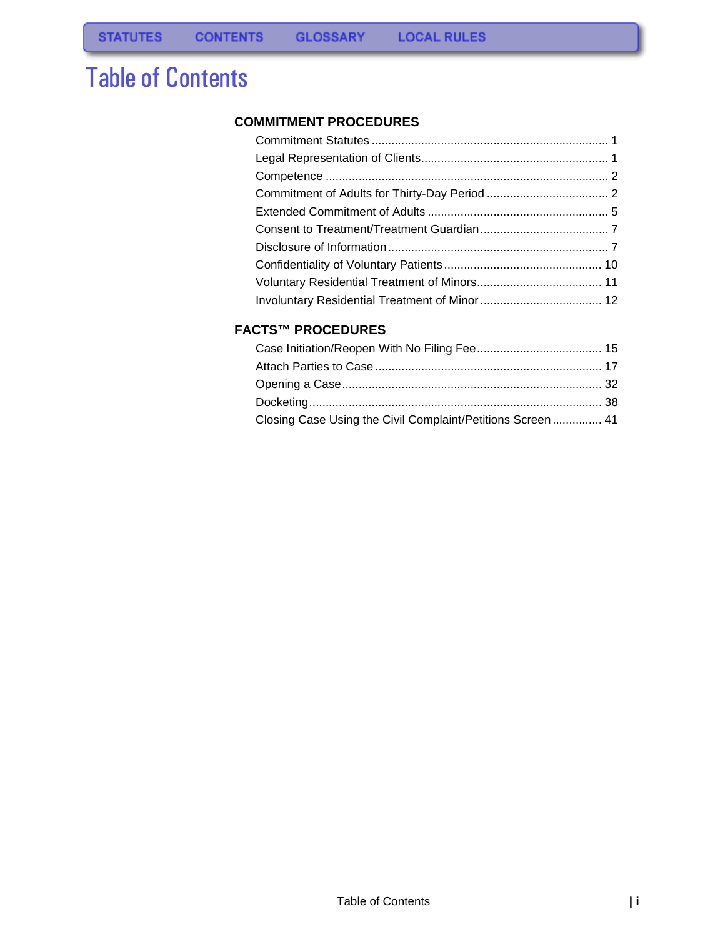# Table of Contents

#### **[COMMITMENT PROCEDURES](#page-1-0)**

#### **[FACTS™ PROCEDURES](#page-15-0)**

| Closing Case Using the Civil Complaint/Petitions Screen 41 |  |
|------------------------------------------------------------|--|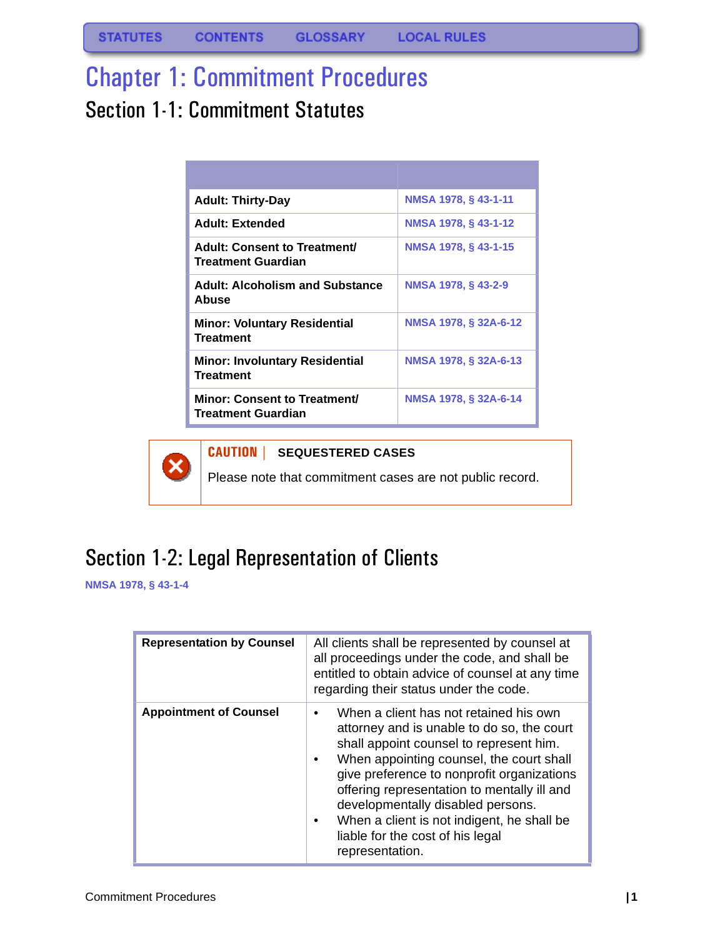**STATUTES CONTENTS GLOSSARY LOCAL RULES** 

# <span id="page-1-0"></span>Chapter 1: Commitment Procedures

# <span id="page-1-1"></span>Section 1-1: Commitment Statutes

| <b>Adult: Thirty-Day</b>                                         | NMSA 1978, § 43-1-11      |
|------------------------------------------------------------------|---------------------------|
| <b>Adult: Extended</b>                                           | NMSA 1978, § 43-1-12      |
| <b>Adult: Consent to Treatment/</b><br><b>Treatment Guardian</b> | NMSA 1978, § 43-1-15      |
| <b>Adult: Alcoholism and Substance</b><br>Abuse                  | <b>NMSA 1978, §43-2-9</b> |
| <b>Minor: Voluntary Residential</b><br><b>Treatment</b>          | NMSA 1978, § 32A-6-12     |
| <b>Minor: Involuntary Residential</b><br><b>Treatment</b>        | NMSA 1978, § 32A-6-13     |
| Minor: Consent to Treatment/<br>Treatment Guardian               | NMSA 1978, § 32A-6-14     |



#### **CAUTION | SEQUESTERED CASES**

Please note that commitment cases are not public record.

## <span id="page-1-2"></span>Section 1-2: Legal Representation of Clients

**NMSA 1978, § 43-1-4**

| <b>Representation by Counsel</b> | All clients shall be represented by counsel at<br>all proceedings under the code, and shall be<br>entitled to obtain advice of counsel at any time<br>regarding their status under the code.                                                                                                                                                                                                                       |
|----------------------------------|--------------------------------------------------------------------------------------------------------------------------------------------------------------------------------------------------------------------------------------------------------------------------------------------------------------------------------------------------------------------------------------------------------------------|
| <b>Appointment of Counsel</b>    | When a client has not retained his own<br>attorney and is unable to do so, the court<br>shall appoint counsel to represent him.<br>When appointing counsel, the court shall<br>give preference to nonprofit organizations<br>offering representation to mentally ill and<br>developmentally disabled persons.<br>When a client is not indigent, he shall be<br>liable for the cost of his legal<br>representation. |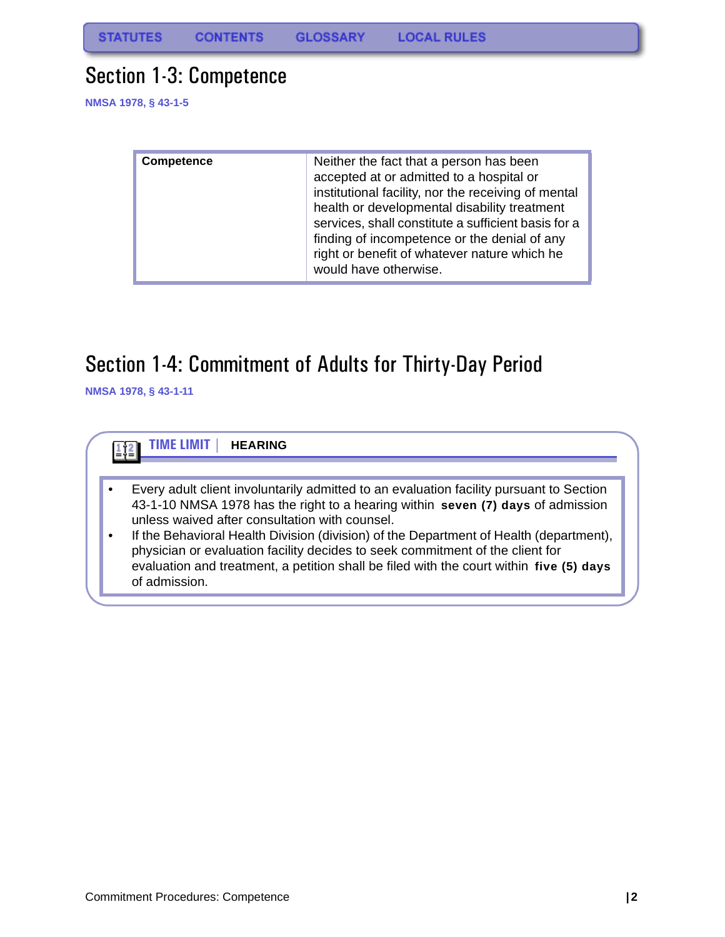### <span id="page-2-0"></span>Section 1-3: Competence

**NMSA 1978, § 43-1-5**

| <b>Competence</b> | Neither the fact that a person has been<br>accepted at or admitted to a hospital or<br>institutional facility, nor the receiving of mental<br>health or developmental disability treatment<br>services, shall constitute a sufficient basis for a<br>finding of incompetence or the denial of any<br>right or benefit of whatever nature which he<br>would have otherwise. |
|-------------------|----------------------------------------------------------------------------------------------------------------------------------------------------------------------------------------------------------------------------------------------------------------------------------------------------------------------------------------------------------------------------|

### <span id="page-2-1"></span>Section 1-4: Commitment of Adults for Thirty-Day Period

**NMSA 1978, § 43-1-11**

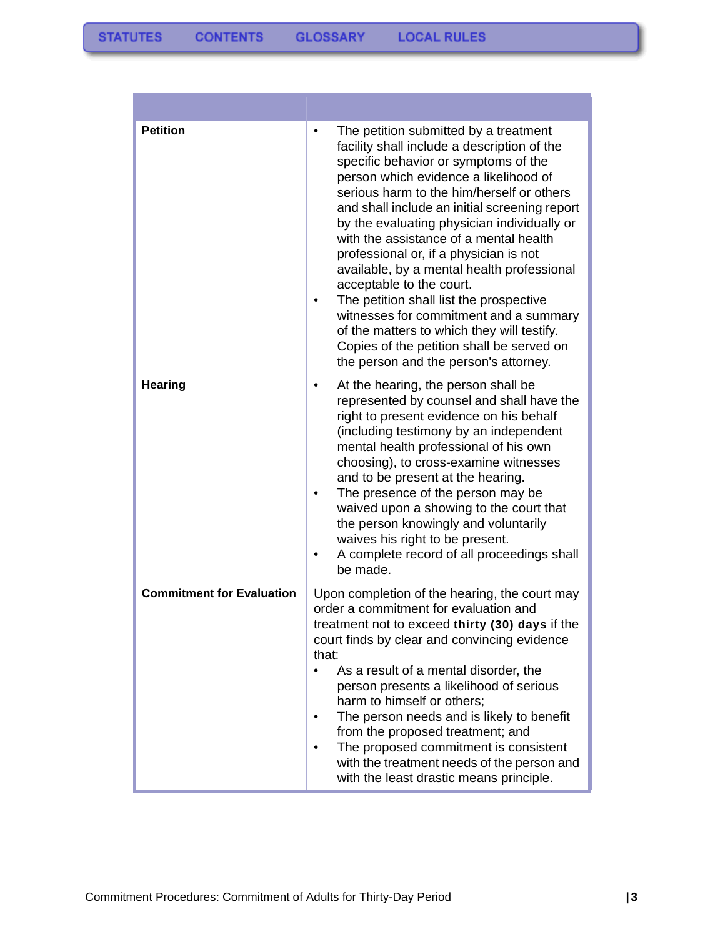**Contract Contract Contract** 

| <b>Petition</b>                  | The petition submitted by a treatment<br>$\bullet$<br>facility shall include a description of the<br>specific behavior or symptoms of the<br>person which evidence a likelihood of<br>serious harm to the him/herself or others<br>and shall include an initial screening report<br>by the evaluating physician individually or<br>with the assistance of a mental health<br>professional or, if a physician is not<br>available, by a mental health professional<br>acceptable to the court.<br>The petition shall list the prospective<br>witnesses for commitment and a summary<br>of the matters to which they will testify.<br>Copies of the petition shall be served on<br>the person and the person's attorney. |
|----------------------------------|------------------------------------------------------------------------------------------------------------------------------------------------------------------------------------------------------------------------------------------------------------------------------------------------------------------------------------------------------------------------------------------------------------------------------------------------------------------------------------------------------------------------------------------------------------------------------------------------------------------------------------------------------------------------------------------------------------------------|
| <b>Hearing</b>                   | At the hearing, the person shall be<br>٠<br>represented by counsel and shall have the<br>right to present evidence on his behalf<br>(including testimony by an independent<br>mental health professional of his own<br>choosing), to cross-examine witnesses<br>and to be present at the hearing.<br>The presence of the person may be<br>waived upon a showing to the court that<br>the person knowingly and voluntarily<br>waives his right to be present.<br>A complete record of all proceedings shall<br>be made.                                                                                                                                                                                                 |
| <b>Commitment for Evaluation</b> | Upon completion of the hearing, the court may<br>order a commitment for evaluation and<br>treatment not to exceed thirty (30) days if the<br>court finds by clear and convincing evidence<br>that:<br>As a result of a mental disorder, the<br>$\bullet$<br>person presents a likelihood of serious<br>harm to himself or others;<br>The person needs and is likely to benefit<br>from the proposed treatment; and<br>The proposed commitment is consistent<br>with the treatment needs of the person and<br>with the least drastic means principle.                                                                                                                                                                   |

and the control of the control of the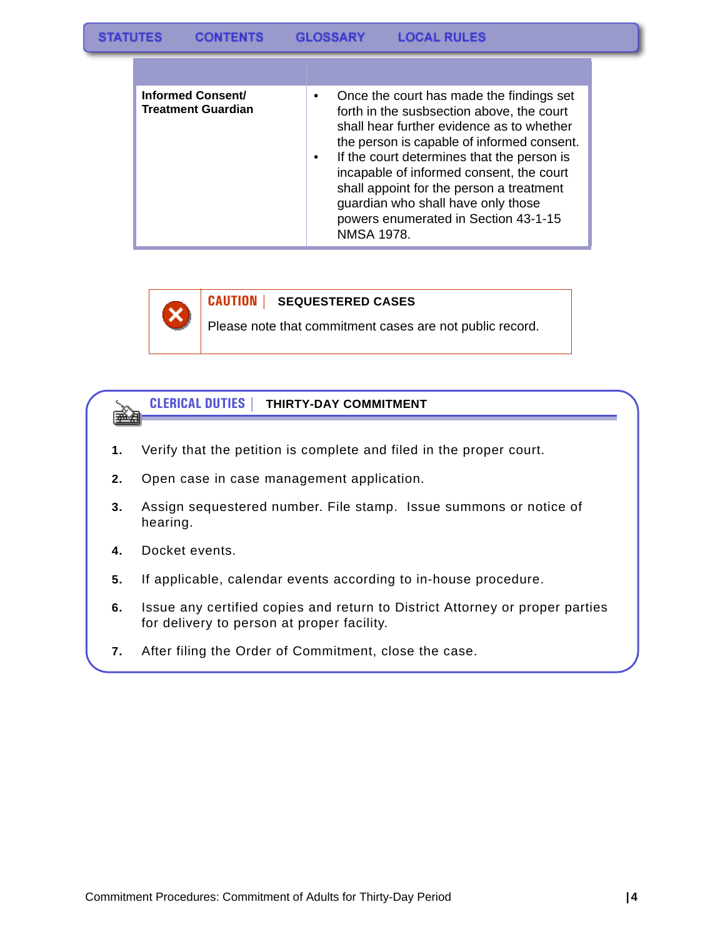| Informed Consent/<br><b>Treatment Guardian</b> | Once the court has made the findings set<br>٠<br>forth in the susbsection above, the court<br>shall hear further evidence as to whether<br>the person is capable of informed consent.<br>If the court determines that the person is<br>٠<br>incapable of informed consent, the court<br>shall appoint for the person a treatment<br>guardian who shall have only those<br>powers enumerated in Section 43-1-15<br><b>NMSA 1978.</b> |
|------------------------------------------------|-------------------------------------------------------------------------------------------------------------------------------------------------------------------------------------------------------------------------------------------------------------------------------------------------------------------------------------------------------------------------------------------------------------------------------------|



#### **CAUTION | SEQUESTERED CASES**

Please note that commitment cases are not public record.



- **1.** Verify that the petition is complete and filed in the proper court.
- **2.** Open case in case management application.
- **3.** Assign sequestered number. File stamp. Issue summons or notice of hearing.
- **4.** Docket events.
- **5.** If applicable, calendar events according to in-house procedure.
- **6.** Issue any certified copies and return to District Attorney or proper parties for delivery to person at proper facility.
- **7.** After filing the Order of Commitment, close the case.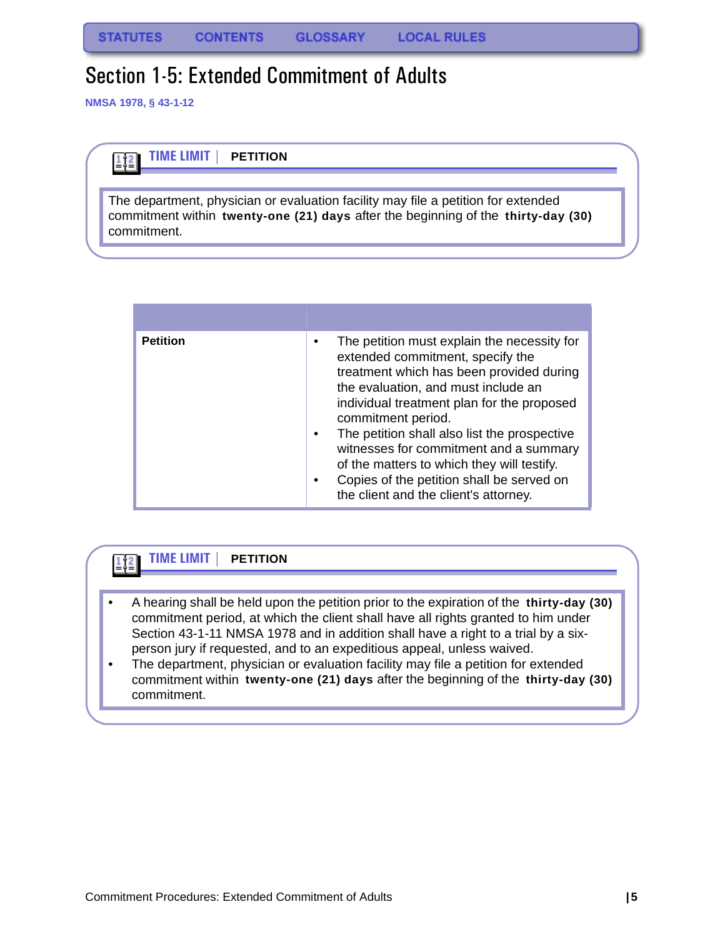# <span id="page-5-0"></span>Section 1-5: Extended Commitment of Adults

**NMSA 1978, § 43-1-12**

 $\mathbf{1}\mathbf{2}$ 



The department, physician or evaluation facility may file a petition for extended commitment within **twenty-one (21) days** after the beginning of the **thirty-day (30)**  commitment.

| <b>Petition</b> | The petition must explain the necessity for<br>٠<br>extended commitment, specify the<br>treatment which has been provided during<br>the evaluation, and must include an<br>individual treatment plan for the proposed<br>commitment period.<br>The petition shall also list the prospective<br>٠<br>witnesses for commitment and a summary<br>of the matters to which they will testify.<br>Copies of the petition shall be served on<br>٠<br>the client and the client's attorney. |
|-----------------|-------------------------------------------------------------------------------------------------------------------------------------------------------------------------------------------------------------------------------------------------------------------------------------------------------------------------------------------------------------------------------------------------------------------------------------------------------------------------------------|

#### **TIME LIMIT | PETITION**  $\frac{1}{2}$

- A hearing shall be held upon the petition prior to the expiration of the **thirty-day (30)** commitment period, at which the client shall have all rights granted to him under Section 43-1-11 NMSA 1978 and in addition shall have a right to a trial by a sixperson jury if requested, and to an expeditious appeal, unless waived.
- The department, physician or evaluation facility may file a petition for extended commitment within **twenty-one (21) days** after the beginning of the **thirty-day (30)** commitment.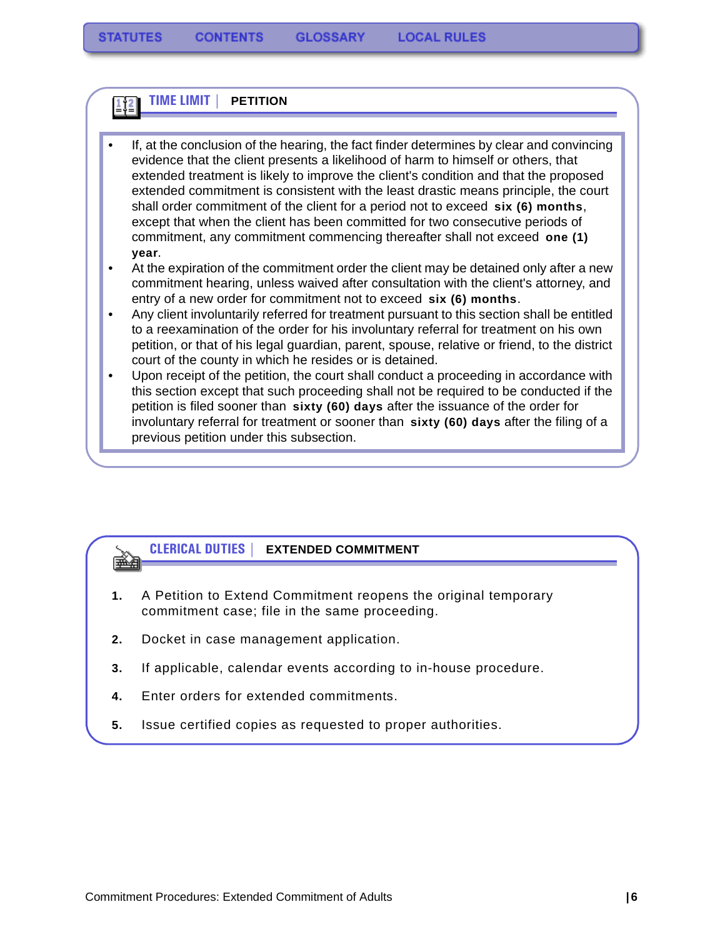### **TIME LIMIT | PETITION**

• If, at the conclusion of the hearing, the fact finder determines by clear and convincing evidence that the client presents a likelihood of harm to himself or others, that extended treatment is likely to improve the client's condition and that the proposed extended commitment is consistent with the least drastic means principle, the court shall order commitment of the client for a period not to exceed **six (6) months**, except that when the client has been committed for two consecutive periods of commitment, any commitment commencing thereafter shall not exceed **one (1) year**.

• At the expiration of the commitment order the client may be detained only after a new commitment hearing, unless waived after consultation with the client's attorney, and entry of a new order for commitment not to exceed **six (6) months**.

• Any client involuntarily referred for treatment pursuant to this section shall be entitled to a reexamination of the order for his involuntary referral for treatment on his own petition, or that of his legal guardian, parent, spouse, relative or friend, to the district court of the county in which he resides or is detained.

• Upon receipt of the petition, the court shall conduct a proceeding in accordance with this section except that such proceeding shall not be required to be conducted if the petition is filed sooner than **sixty (60) days** after the issuance of the order for involuntary referral for treatment or sooner than **sixty (60) days** after the filing of a previous petition under this subsection.

#### **CLERICAL DUTIES | EXTENDED COMMITMENT**

- **1.** A Petition to Extend Commitment reopens the original temporary commitment case; file in the same proceeding.
- **2.** Docket in case management application.

▒⊟

- **3.** If applicable, calendar events according to in-house procedure.
- **4.** Enter orders for extended commitments.
- **5.** Issue certified copies as requested to proper authorities.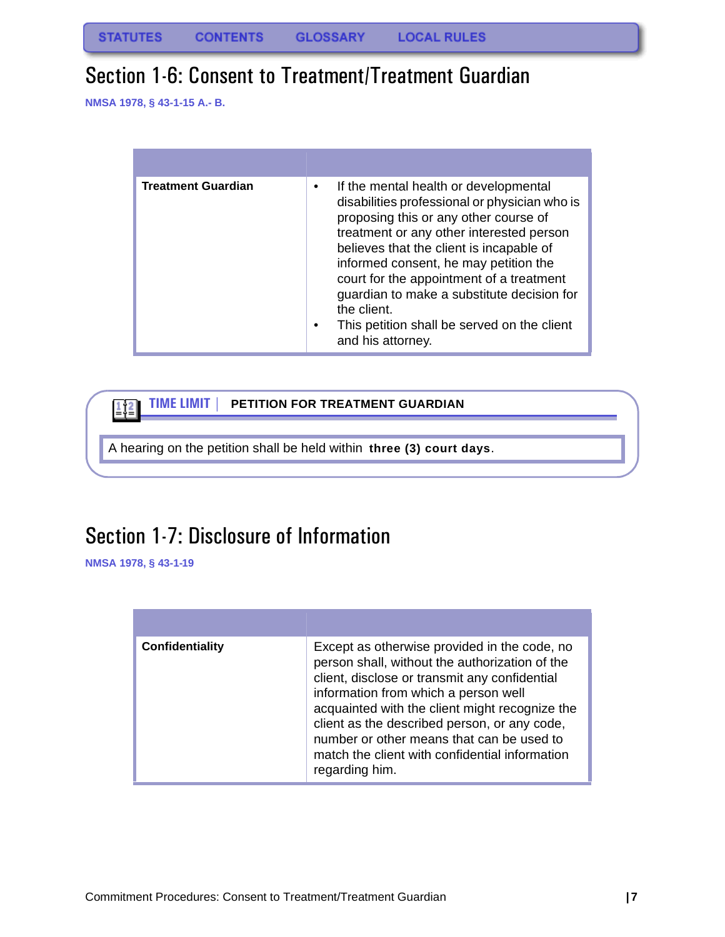### <span id="page-7-0"></span>Section 1-6: Consent to Treatment/Treatment Guardian

**NMSA 1978, § 43-1-15 A.- B.**

| <b>Treatment Guardian</b> | If the mental health or developmental<br>٠<br>disabilities professional or physician who is<br>proposing this or any other course of<br>treatment or any other interested person<br>believes that the client is incapable of<br>informed consent, he may petition the<br>court for the appointment of a treatment<br>guardian to make a substitute decision for<br>the client.<br>This petition shall be served on the client<br>٠<br>and his attorney. |
|---------------------------|---------------------------------------------------------------------------------------------------------------------------------------------------------------------------------------------------------------------------------------------------------------------------------------------------------------------------------------------------------------------------------------------------------------------------------------------------------|

**TIME LIMIT | PETITION FOR TREATMENT GUARDIAN**  $\boxed{112}$ A hearing on the petition shall be held within **three (3) court days**.

# <span id="page-7-1"></span>Section 1-7: Disclosure of Information

**NMSA 1978, § 43-1-19**

| <b>Confidentiality</b> | Except as otherwise provided in the code, no<br>person shall, without the authorization of the<br>client, disclose or transmit any confidential<br>information from which a person well<br>acquainted with the client might recognize the<br>client as the described person, or any code,<br>number or other means that can be used to<br>match the client with confidential information<br>regarding him. |
|------------------------|------------------------------------------------------------------------------------------------------------------------------------------------------------------------------------------------------------------------------------------------------------------------------------------------------------------------------------------------------------------------------------------------------------|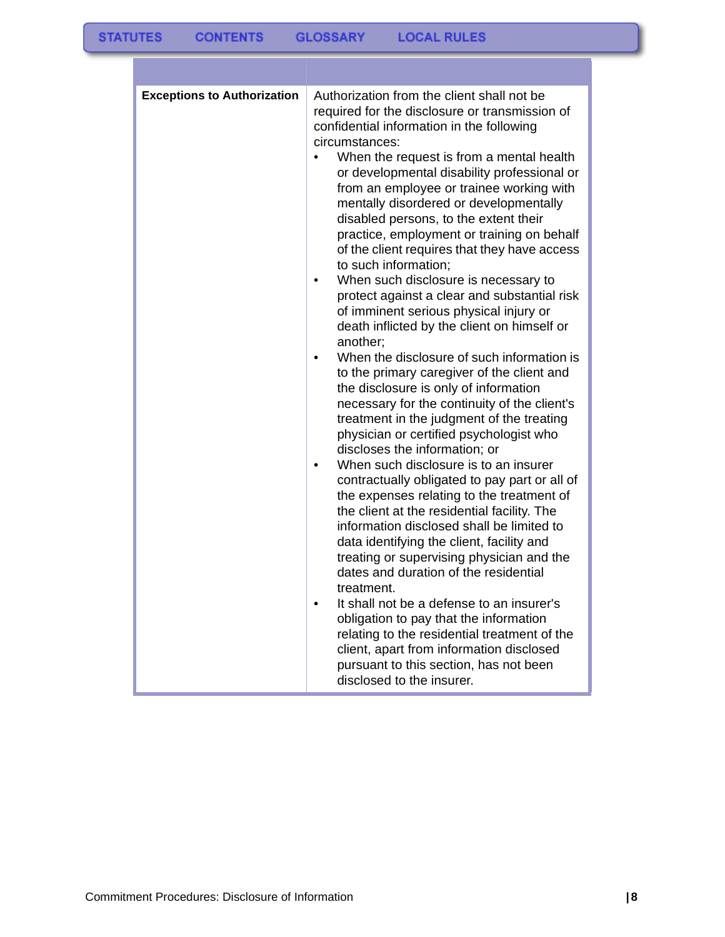| <b>Exceptions to Authorization</b> | Authorization from the client shall not be<br>required for the disclosure or transmission of<br>confidential information in the following<br>circumstances:<br>When the request is from a mental health<br>$\bullet$<br>or developmental disability professional or<br>from an employee or trainee working with<br>mentally disordered or developmentally<br>disabled persons, to the extent their<br>practice, employment or training on behalf<br>of the client requires that they have access<br>to such information;<br>When such disclosure is necessary to<br>$\bullet$<br>protect against a clear and substantial risk<br>of imminent serious physical injury or<br>death inflicted by the client on himself or<br>another;<br>When the disclosure of such information is<br>to the primary caregiver of the client and<br>the disclosure is only of information<br>necessary for the continuity of the client's<br>treatment in the judgment of the treating<br>physician or certified psychologist who<br>discloses the information; or<br>When such disclosure is to an insurer<br>$\bullet$<br>contractually obligated to pay part or all of<br>the expenses relating to the treatment of<br>the client at the residential facility. The<br>information disclosed shall be limited to<br>data identifying the client, facility and<br>treating or supervising physician and the<br>dates and duration of the residential<br>treatment.<br>It shall not be a defense to an insurer's<br>٠<br>obligation to pay that the information<br>relating to the residential treatment of the<br>client, apart from information disclosed<br>pursuant to this section, has not been<br>disclosed to the insurer. |
|------------------------------------|------------------------------------------------------------------------------------------------------------------------------------------------------------------------------------------------------------------------------------------------------------------------------------------------------------------------------------------------------------------------------------------------------------------------------------------------------------------------------------------------------------------------------------------------------------------------------------------------------------------------------------------------------------------------------------------------------------------------------------------------------------------------------------------------------------------------------------------------------------------------------------------------------------------------------------------------------------------------------------------------------------------------------------------------------------------------------------------------------------------------------------------------------------------------------------------------------------------------------------------------------------------------------------------------------------------------------------------------------------------------------------------------------------------------------------------------------------------------------------------------------------------------------------------------------------------------------------------------------------------------------------------------------------------------------------------------------------------|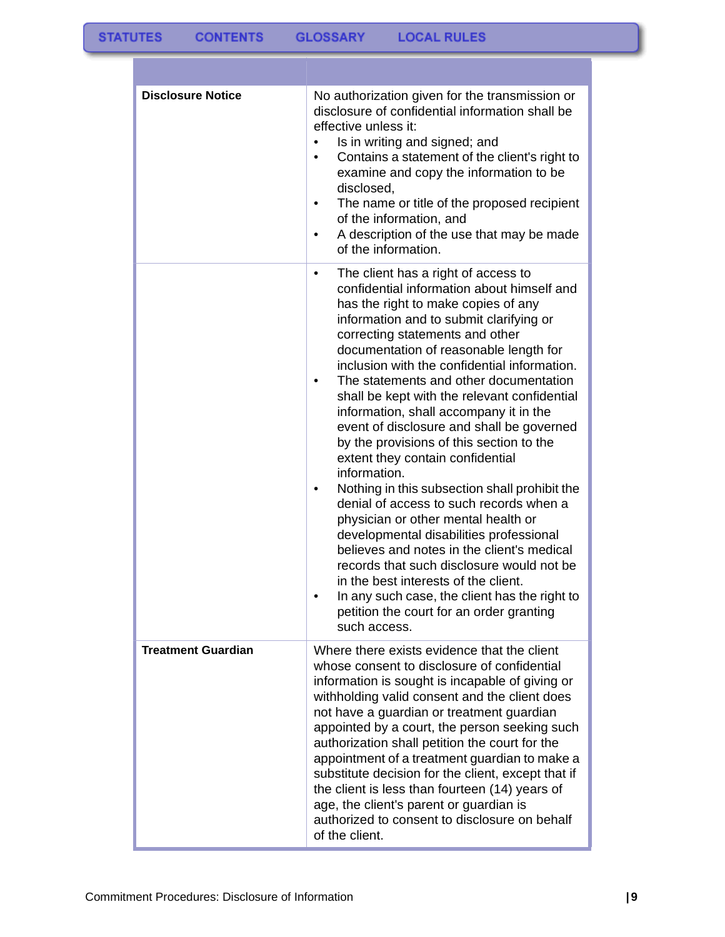| <b>Disclosure Notice</b>  | No authorization given for the transmission or<br>disclosure of confidential information shall be<br>effective unless it:<br>Is in writing and signed; and<br>Contains a statement of the client's right to<br>examine and copy the information to be<br>disclosed,<br>The name or title of the proposed recipient<br>of the information, and<br>A description of the use that may be made<br>٠<br>of the information.                                                                                                                                                                                                                                                                                                                                                                                                                                                                                                                                                                                                    |
|---------------------------|---------------------------------------------------------------------------------------------------------------------------------------------------------------------------------------------------------------------------------------------------------------------------------------------------------------------------------------------------------------------------------------------------------------------------------------------------------------------------------------------------------------------------------------------------------------------------------------------------------------------------------------------------------------------------------------------------------------------------------------------------------------------------------------------------------------------------------------------------------------------------------------------------------------------------------------------------------------------------------------------------------------------------|
|                           | The client has a right of access to<br>٠<br>confidential information about himself and<br>has the right to make copies of any<br>information and to submit clarifying or<br>correcting statements and other<br>documentation of reasonable length for<br>inclusion with the confidential information.<br>The statements and other documentation<br>shall be kept with the relevant confidential<br>information, shall accompany it in the<br>event of disclosure and shall be governed<br>by the provisions of this section to the<br>extent they contain confidential<br>information.<br>Nothing in this subsection shall prohibit the<br>٠<br>denial of access to such records when a<br>physician or other mental health or<br>developmental disabilities professional<br>believes and notes in the client's medical<br>records that such disclosure would not be<br>in the best interests of the client.<br>In any such case, the client has the right to<br>petition the court for an order granting<br>such access. |
| <b>Treatment Guardian</b> | Where there exists evidence that the client<br>whose consent to disclosure of confidential<br>information is sought is incapable of giving or<br>withholding valid consent and the client does<br>not have a guardian or treatment guardian<br>appointed by a court, the person seeking such<br>authorization shall petition the court for the<br>appointment of a treatment guardian to make a<br>substitute decision for the client, except that if<br>the client is less than fourteen (14) years of<br>age, the client's parent or guardian is<br>authorized to consent to disclosure on behalf<br>of the client.                                                                                                                                                                                                                                                                                                                                                                                                     |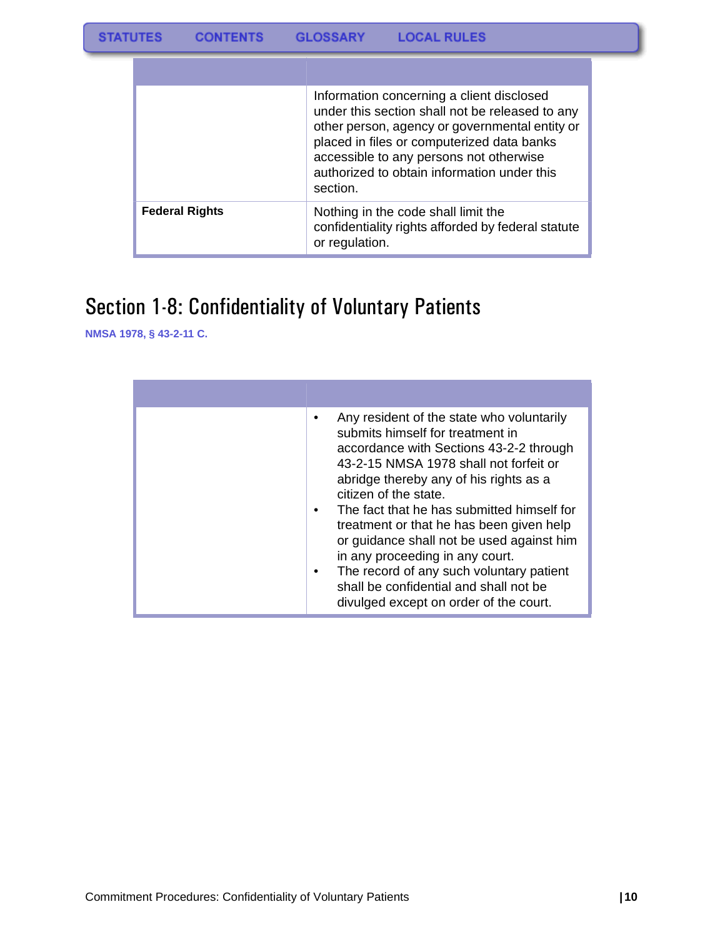|                       | Information concerning a client disclosed<br>under this section shall not be released to any<br>other person, agency or governmental entity or<br>placed in files or computerized data banks<br>accessible to any persons not otherwise<br>authorized to obtain information under this<br>section. |
|-----------------------|----------------------------------------------------------------------------------------------------------------------------------------------------------------------------------------------------------------------------------------------------------------------------------------------------|
| <b>Federal Rights</b> | Nothing in the code shall limit the<br>confidentiality rights afforded by federal statute<br>or regulation.                                                                                                                                                                                        |

# <span id="page-10-0"></span>Section 1-8: Confidentiality of Voluntary Patients

**NMSA 1978, § 43-2-11 C.**

| Any resident of the state who voluntarily<br>submits himself for treatment in<br>accordance with Sections 43-2-2 through<br>43-2-15 NMSA 1978 shall not forfeit or<br>abridge thereby any of his rights as a<br>citizen of the state.<br>The fact that he has submitted himself for<br>treatment or that he has been given help<br>or guidance shall not be used against him<br>in any proceeding in any court.<br>The record of any such voluntary patient<br>shall be confidential and shall not be<br>divulged except on order of the court. |
|-------------------------------------------------------------------------------------------------------------------------------------------------------------------------------------------------------------------------------------------------------------------------------------------------------------------------------------------------------------------------------------------------------------------------------------------------------------------------------------------------------------------------------------------------|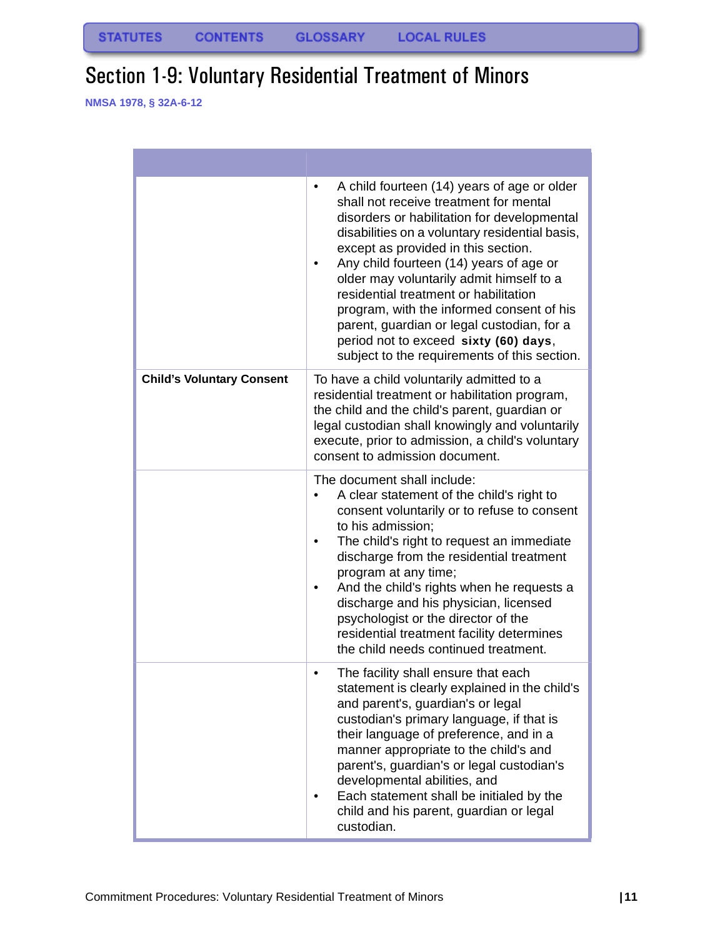# <span id="page-11-0"></span>Section 1-9: Voluntary Residential Treatment of Minors

**NMSA 1978, § 32A-6-12**

|                                  | A child fourteen (14) years of age or older<br>٠<br>shall not receive treatment for mental<br>disorders or habilitation for developmental<br>disabilities on a voluntary residential basis,<br>except as provided in this section.<br>Any child fourteen (14) years of age or<br>older may voluntarily admit himself to a<br>residential treatment or habilitation<br>program, with the informed consent of his<br>parent, guardian or legal custodian, for a<br>period not to exceed sixty (60) days,<br>subject to the requirements of this section. |
|----------------------------------|--------------------------------------------------------------------------------------------------------------------------------------------------------------------------------------------------------------------------------------------------------------------------------------------------------------------------------------------------------------------------------------------------------------------------------------------------------------------------------------------------------------------------------------------------------|
| <b>Child's Voluntary Consent</b> | To have a child voluntarily admitted to a<br>residential treatment or habilitation program,<br>the child and the child's parent, guardian or<br>legal custodian shall knowingly and voluntarily<br>execute, prior to admission, a child's voluntary<br>consent to admission document.                                                                                                                                                                                                                                                                  |
|                                  | The document shall include:<br>A clear statement of the child's right to<br>consent voluntarily or to refuse to consent<br>to his admission;<br>The child's right to request an immediate<br>discharge from the residential treatment<br>program at any time;<br>And the child's rights when he requests a<br>discharge and his physician, licensed<br>psychologist or the director of the<br>residential treatment facility determines<br>the child needs continued treatment.                                                                        |
|                                  | The facility shall ensure that each<br>$\bullet$<br>statement is clearly explained in the child's<br>and parent's, guardian's or legal<br>custodian's primary language, if that is<br>their language of preference, and in a<br>manner appropriate to the child's and<br>parent's, guardian's or legal custodian's<br>developmental abilities, and<br>Each statement shall be initialed by the<br>child and his parent, guardian or legal<br>custodian.                                                                                                |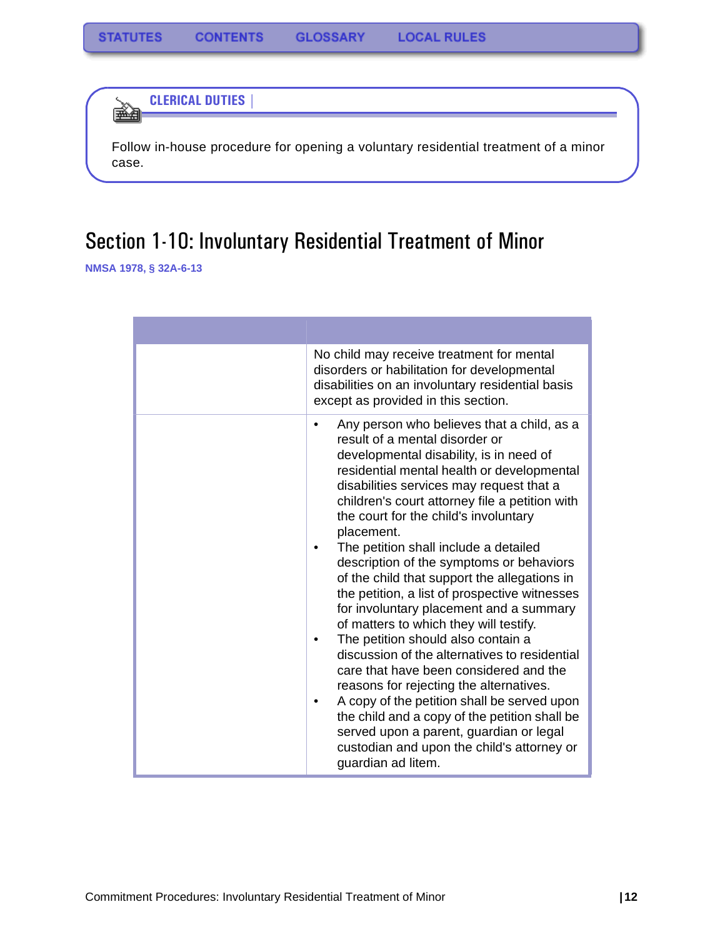**CLERICAL DUTIES |** 

Follow in-house procedure for opening a voluntary residential treatment of a minor case.

# <span id="page-12-0"></span>Section 1-10: Involuntary Residential Treatment of Minor

**NMSA 1978, § 32A-6-13**

êmen (

| No child may receive treatment for mental<br>disorders or habilitation for developmental<br>disabilities on an involuntary residential basis<br>except as provided in this section.                                                                                                                                                                                                                                                                                                                                                                                                                                                                                                                                                                                                                                                                                                                                                                                                              |
|--------------------------------------------------------------------------------------------------------------------------------------------------------------------------------------------------------------------------------------------------------------------------------------------------------------------------------------------------------------------------------------------------------------------------------------------------------------------------------------------------------------------------------------------------------------------------------------------------------------------------------------------------------------------------------------------------------------------------------------------------------------------------------------------------------------------------------------------------------------------------------------------------------------------------------------------------------------------------------------------------|
| Any person who believes that a child, as a<br>result of a mental disorder or<br>developmental disability, is in need of<br>residential mental health or developmental<br>disabilities services may request that a<br>children's court attorney file a petition with<br>the court for the child's involuntary<br>placement.<br>The petition shall include a detailed<br>description of the symptoms or behaviors<br>of the child that support the allegations in<br>the petition, a list of prospective witnesses<br>for involuntary placement and a summary<br>of matters to which they will testify.<br>The petition should also contain a<br>discussion of the alternatives to residential<br>care that have been considered and the<br>reasons for rejecting the alternatives.<br>A copy of the petition shall be served upon<br>the child and a copy of the petition shall be<br>served upon a parent, guardian or legal<br>custodian and upon the child's attorney or<br>guardian ad litem. |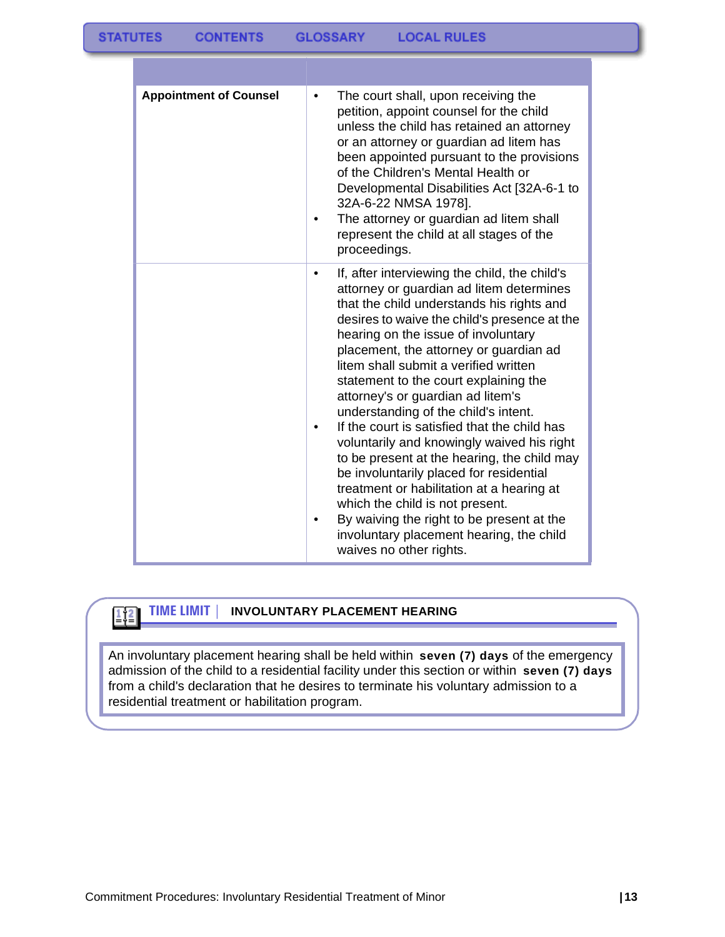| <b>Appointment of Counsel</b> | The court shall, upon receiving the<br>petition, appoint counsel for the child<br>unless the child has retained an attorney<br>or an attorney or guardian ad litem has<br>been appointed pursuant to the provisions<br>of the Children's Mental Health or<br>Developmental Disabilities Act [32A-6-1 to<br>32A-6-22 NMSA 1978].<br>The attorney or guardian ad litem shall<br>represent the child at all stages of the<br>proceedings.                                                                                                                                                                                                                                                                                                                                                                                             |
|-------------------------------|------------------------------------------------------------------------------------------------------------------------------------------------------------------------------------------------------------------------------------------------------------------------------------------------------------------------------------------------------------------------------------------------------------------------------------------------------------------------------------------------------------------------------------------------------------------------------------------------------------------------------------------------------------------------------------------------------------------------------------------------------------------------------------------------------------------------------------|
|                               | If, after interviewing the child, the child's<br>attorney or guardian ad litem determines<br>that the child understands his rights and<br>desires to waive the child's presence at the<br>hearing on the issue of involuntary<br>placement, the attorney or guardian ad<br>litem shall submit a verified written<br>statement to the court explaining the<br>attorney's or guardian ad litem's<br>understanding of the child's intent.<br>If the court is satisfied that the child has<br>voluntarily and knowingly waived his right<br>to be present at the hearing, the child may<br>be involuntarily placed for residential<br>treatment or habilitation at a hearing at<br>which the child is not present.<br>By waiving the right to be present at the<br>involuntary placement hearing, the child<br>waives no other rights. |

 $\left[\frac{1}{2}\right]$ 

#### **TIME LIMIT | INVOLUNTARY PLACEMENT HEARING**

An involuntary placement hearing shall be held within **seven (7) days** of the emergency admission of the child to a residential facility under this section or within **seven (7) days** from a child's declaration that he desires to terminate his voluntary admission to a residential treatment or habilitation program.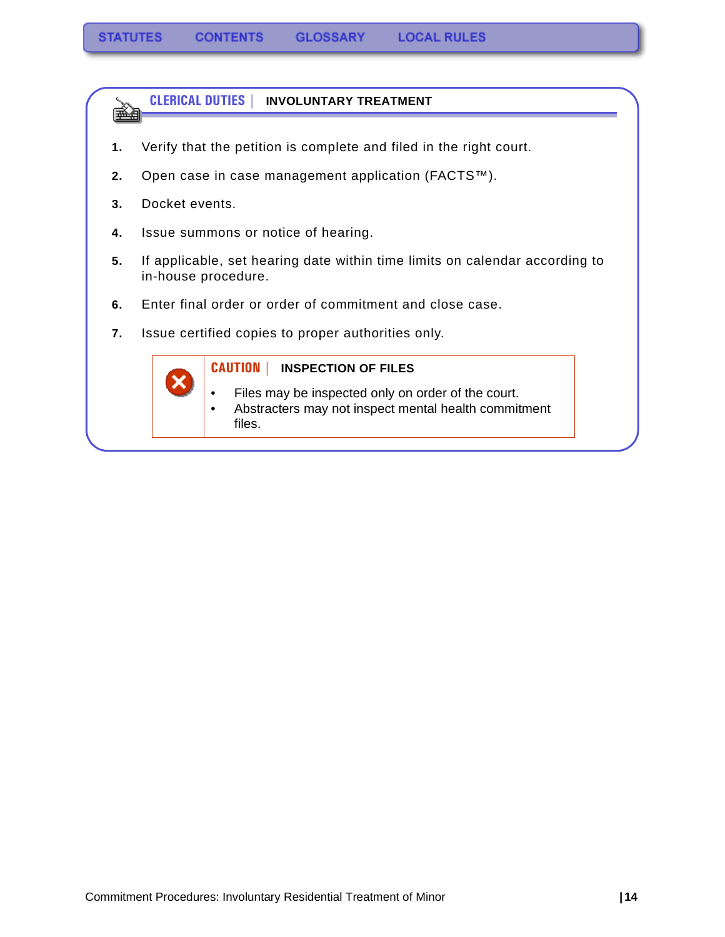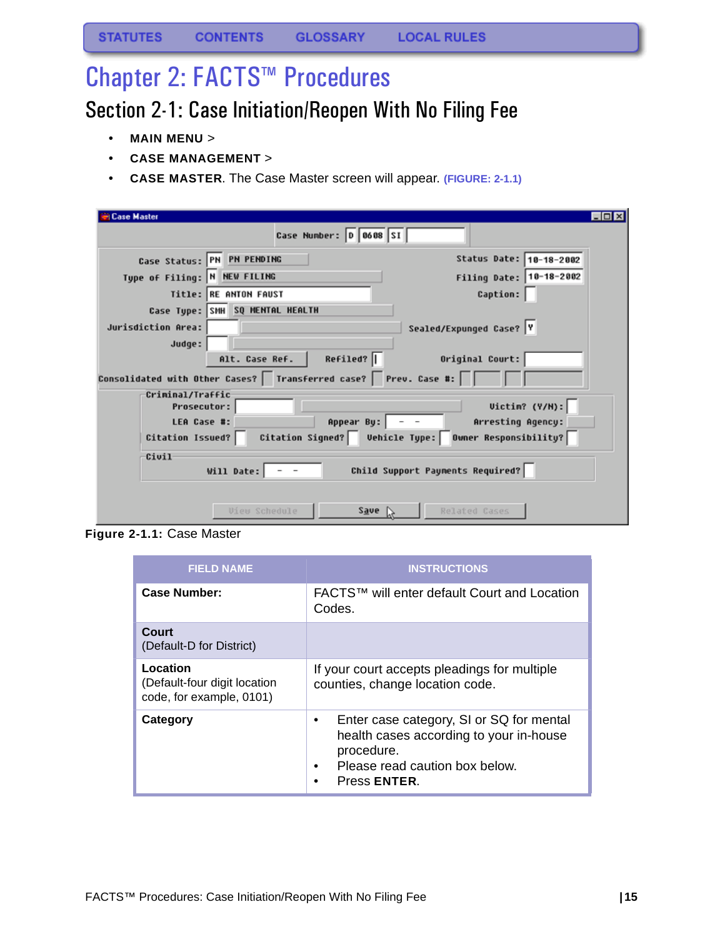# <span id="page-15-0"></span>Chapter 2: FACTS™ Procedures

# <span id="page-15-1"></span>Section 2-1: Case Initiation/Reopen With No Filing Fee

- **MAIN MENU** >
- **CASE MANAGEMENT** >
- **CASE MASTER**. The Case Master screen will appear. **(FIGURE: 2-1.1)**

| <b>Case Master</b>                                                             |                                                                    |                          | $\Box$ olx |
|--------------------------------------------------------------------------------|--------------------------------------------------------------------|--------------------------|------------|
|                                                                                | Case Number: 0 0608 SI                                             |                          |            |
|                                                                                | Case Status: PN PN PENDING                                         | Status Date: 18-18-2002  |            |
| Type of Filing: N NEW FILING                                                   |                                                                    | Filing Date: 10-18-2002  |            |
|                                                                                | Title: RE ANTON FAUST                                              | <b>Caption:</b>          |            |
|                                                                                | Case Type: SMH SQ MENTAL HEALTH                                    |                          |            |
| Jurisdiction Area:                                                             |                                                                    | Sealed/Expunged Case? Y  |            |
| Judge:                                                                         |                                                                    |                          |            |
|                                                                                | Refiled?<br>Alt. Case Ref.                                         | Original Court:          |            |
|                                                                                | Consolidated with Other Cases?   Transferred case?   Prev. Case #: |                          |            |
| Criminal/Traffic<br><b>Prosecutor:</b>                                         |                                                                    | Uictim? (Y/M):           |            |
| LEA Case #:                                                                    | Appear By: $\vert$ - -                                             | <b>Arresting Agency:</b> |            |
| Citation Signed?   Vehicle Type:   Owner Responsibility?  <br>Citation Issued? |                                                                    |                          |            |
| Civil<br>Child Support Payments Required?<br>Will Date:                        |                                                                    |                          |            |
|                                                                                | Save<br>View Schedule                                              | Related Cases            |            |

**Figure 2-1.1:** Case Master

| <b>FIELD NAME</b>                                                    | <b>INSTRUCTIONS</b>                                                                                                                                           |
|----------------------------------------------------------------------|---------------------------------------------------------------------------------------------------------------------------------------------------------------|
| Case Number:                                                         | FACTS™ will enter default Court and Location<br>Codes.                                                                                                        |
| Court<br>(Default-D for District)                                    |                                                                                                                                                               |
| Location<br>(Default-four digit location<br>code, for example, 0101) | If your court accepts pleadings for multiple<br>counties, change location code.                                                                               |
| Category                                                             | Enter case category, SI or SQ for mental<br>٠<br>health cases according to your in-house<br>procedure.<br>Please read caution box below.<br>٠<br>Press ENTER. |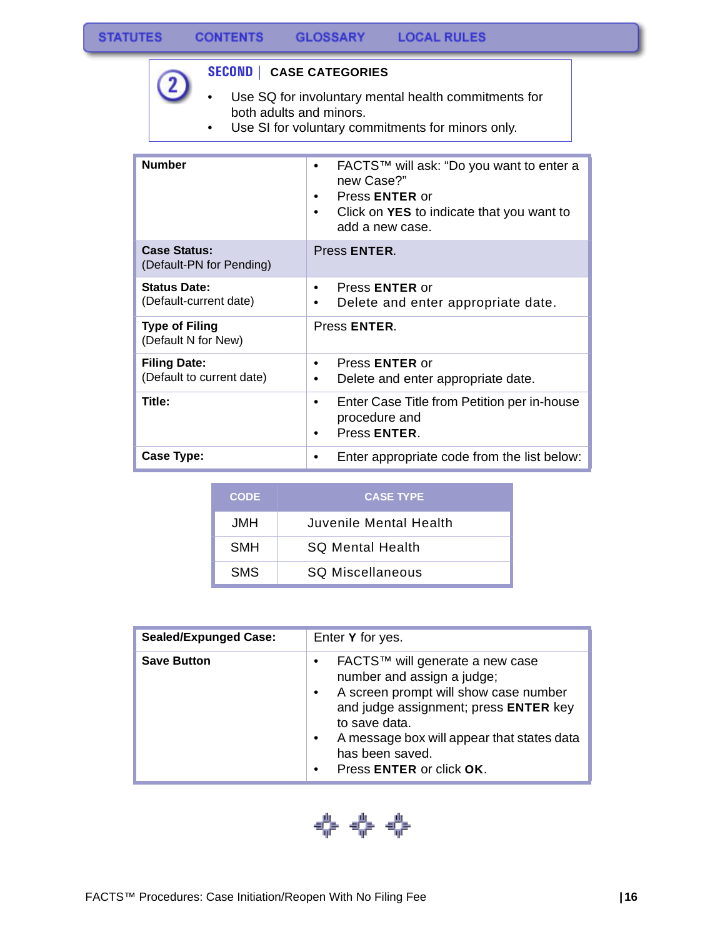$\boxed{2}$ 

#### **SECOND | CASE CATEGORIES**

- Use SQ for involuntary mental health commitments for both adults and minors.
- Use SI for voluntary commitments for minors only.

| <b>Number</b>                                    | FACTS™ will ask: "Do you want to enter a<br>new Case?"<br>Press <b>ENTER</b> or<br>Click on YES to indicate that you want to<br>add a new case. |  |
|--------------------------------------------------|-------------------------------------------------------------------------------------------------------------------------------------------------|--|
| <b>Case Status:</b><br>(Default-PN for Pending)  | Press <b>ENTER</b> .                                                                                                                            |  |
| <b>Status Date:</b><br>(Default-current date)    | Press <b>ENTER</b> or<br>Delete and enter appropriate date.                                                                                     |  |
| <b>Type of Filing</b><br>(Default N for New)     | Press ENTER.                                                                                                                                    |  |
| <b>Filing Date:</b><br>(Default to current date) | Press <b>ENTER</b> or<br>٠<br>Delete and enter appropriate date.                                                                                |  |
| Title:                                           | Enter Case Title from Petition per in-house<br>٠<br>procedure and<br>Press ENTER.                                                               |  |
| Case Type:                                       | Enter appropriate code from the list below:                                                                                                     |  |

| <b>CODE</b> | <b>CASE TYPE</b>        |
|-------------|-------------------------|
| <b>JMH</b>  | Juvenile Mental Health  |
| <b>SMH</b>  | <b>SQ Mental Health</b> |
| <b>SMS</b>  | <b>SQ Miscellaneous</b> |

| <b>Sealed/Expunged Case:</b> | Enter Y for yes.                                                                                                                                                                                                                                                                                     |
|------------------------------|------------------------------------------------------------------------------------------------------------------------------------------------------------------------------------------------------------------------------------------------------------------------------------------------------|
| <b>Save Button</b>           | FACTS™ will generate a new case<br>$\bullet$<br>number and assign a judge;<br>A screen prompt will show case number<br>$\bullet$<br>and judge assignment; press ENTER key<br>to save data.<br>A message box will appear that states data<br>has been saved.<br>Press ENTER or click OK.<br>$\bullet$ |

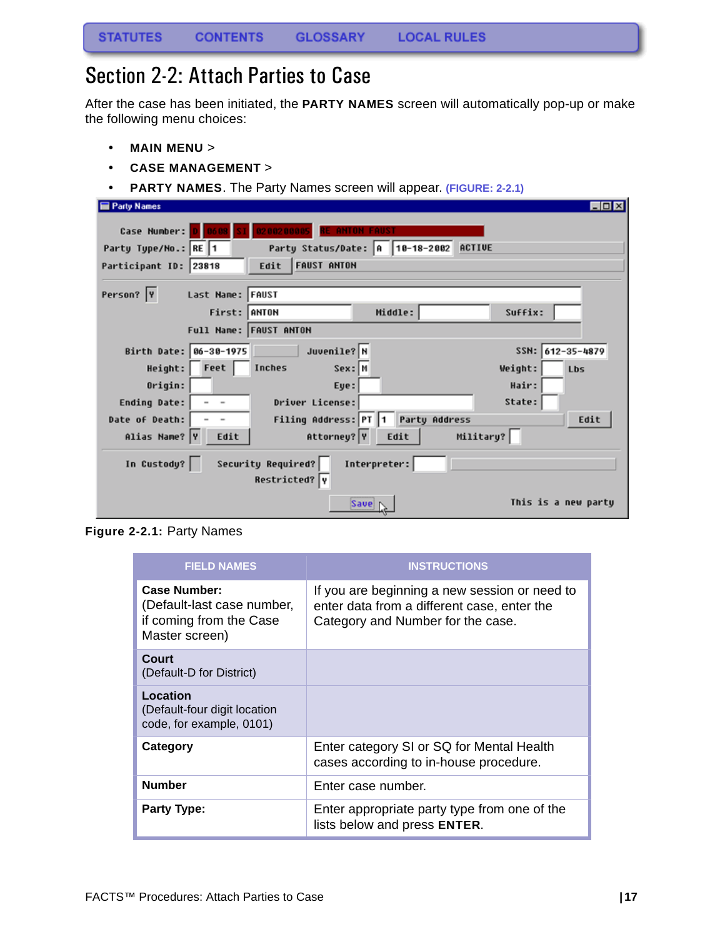### <span id="page-17-0"></span>Section 2-2: Attach Parties to Case

After the case has been initiated, the **PARTY NAMES** screen will automatically pop-up or make the following menu choices:

- **MAIN MENU** >
- **CASE MANAGEMENT** >
- **PARTY NAMES**. The Party Names screen will appear. **(FIGURE: 2-2.1)**

| <b>Party Names</b>                                                 | $\Box$ o $\times$   |
|--------------------------------------------------------------------|---------------------|
| Case Number:<br>0200200005<br><b>ANTON FAUST</b>                   |                     |
| Party Status/Date: A 10-18-2002 ACTIVE<br>Party Type/No.: RE 1     |                     |
| <b>FAUST ANTON</b><br>Edit<br>Participant ID: 23818                |                     |
|                                                                    |                     |
| Person?  Y<br>Last Name: FAUST                                     |                     |
| First: ANTON<br>Middle:                                            | Suffix:             |
| Full Name: FAUST ANTON                                             |                     |
| Juvenile? N<br>Birth Date: 06-30-1975                              | SSN: 612-35-4879    |
| Feet  <br>Inches<br>Height:<br>Sex: M                              | Weight:<br>Lbs      |
| Origin:<br>Eye:                                                    | Hair:               |
| Driver License:<br><b>Ending Date:</b><br>$\overline{\phantom{a}}$ | State:              |
| Filing Address: PT 1<br><b>Party Address</b><br>Date of Death:     | Edit                |
| Military?<br>Attorney? Y<br>Alias Name? Y<br>Edit<br>Edit          |                     |
| Security Required?<br>In Custody?<br>Interpreter:<br>Restricted? Y |                     |
| Save                                                               | This is a new party |

**Figure 2-2.1:** Party Names

| <b>FIELD NAMES</b>                                                                      | <b>INSTRUCTIONS</b>                                                                                                               |
|-----------------------------------------------------------------------------------------|-----------------------------------------------------------------------------------------------------------------------------------|
| Case Number:<br>(Default-last case number,<br>if coming from the Case<br>Master screen) | If you are beginning a new session or need to<br>enter data from a different case, enter the<br>Category and Number for the case. |
| Court<br>(Default-D for District)                                                       |                                                                                                                                   |
| Location<br>(Default-four digit location<br>code, for example, 0101)                    |                                                                                                                                   |
| Category                                                                                | Enter category SI or SQ for Mental Health<br>cases according to in-house procedure.                                               |
| <b>Number</b>                                                                           | Enter case number.                                                                                                                |
| <b>Party Type:</b>                                                                      | Enter appropriate party type from one of the<br>lists below and press ENTER.                                                      |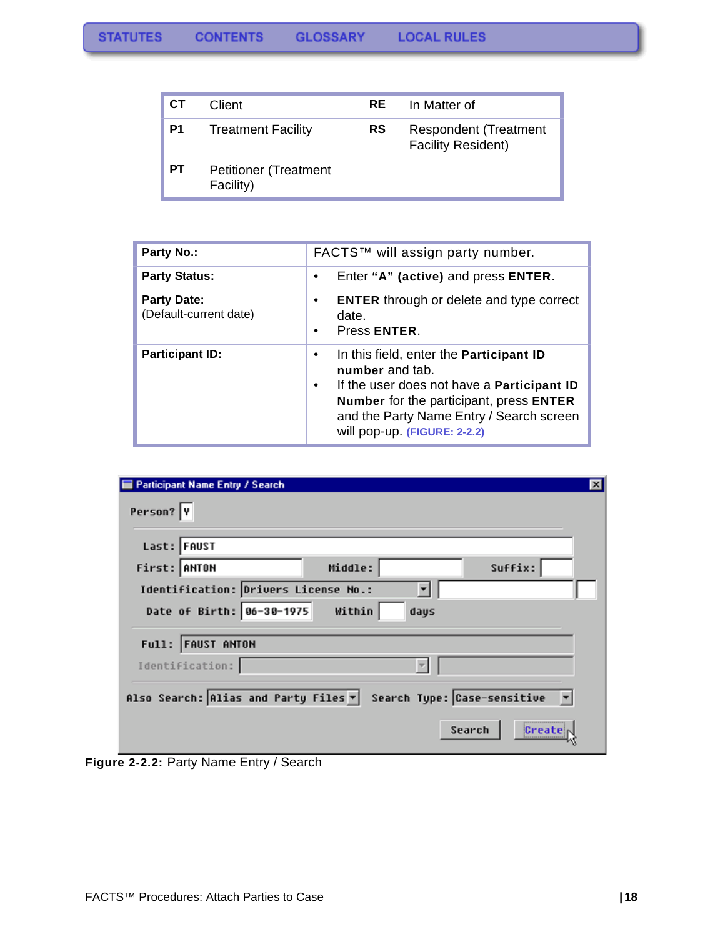| <b>CT</b>      | Client                                    | RE.       | In Matter of                                              |
|----------------|-------------------------------------------|-----------|-----------------------------------------------------------|
| P <sub>1</sub> | <b>Treatment Facility</b>                 | <b>RS</b> | <b>Respondent (Treatment</b><br><b>Facility Resident)</b> |
| PТ             | <b>Petitioner (Treatment</b><br>Facility) |           |                                                           |

| <b>Party No.:</b>                            | FACTS™ will assign party number.                                                                                                                                                                                                            |  |
|----------------------------------------------|---------------------------------------------------------------------------------------------------------------------------------------------------------------------------------------------------------------------------------------------|--|
| <b>Party Status:</b>                         | Enter "A" (active) and press ENTER.                                                                                                                                                                                                         |  |
| <b>Party Date:</b><br>(Default-current date) | <b>ENTER</b> through or delete and type correct<br>date.<br>Press ENTER.                                                                                                                                                                    |  |
| <b>Participant ID:</b>                       | In this field, enter the Participant ID<br>number and tab.<br>If the user does not have a <b>Participant ID</b><br>٠<br>Number for the participant, press ENTER<br>and the Party Name Entry / Search screen<br>will pop-up. (FIGURE: 2-2.2) |  |

| Person? Y<br>Last: FAUST                                          |                |         |  |
|-------------------------------------------------------------------|----------------|---------|--|
| First: ANTON                                                      | Middle:        | Suffix: |  |
| Identification: Drivers License No.:<br>Date of Birth: 86-30-1975 | Within<br>days |         |  |
|                                                                   |                |         |  |
| Full: FAUST ANTON                                                 |                |         |  |

<span id="page-18-0"></span>**Figure 2-2.2:** Party Name Entry / Search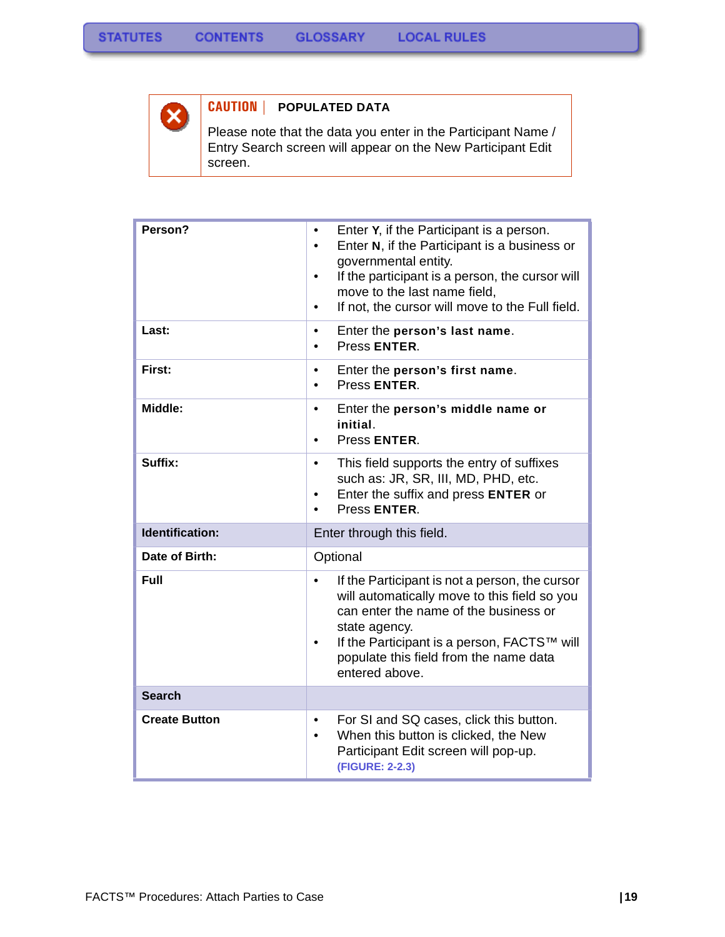

### **CAUTION | POPULATED DATA**

Please note that the data you enter in the Participant Name / Entry Search screen will appear on the New Participant Edit screen.

| Person?                | Enter Y, if the Participant is a person.<br>Enter N, if the Participant is a business or<br>$\bullet$<br>governmental entity.<br>If the participant is a person, the cursor will<br>$\bullet$<br>move to the last name field,<br>If not, the cursor will move to the Full field. |  |
|------------------------|----------------------------------------------------------------------------------------------------------------------------------------------------------------------------------------------------------------------------------------------------------------------------------|--|
| Last:                  | Enter the person's last name.<br>$\bullet$<br>Press ENTER.                                                                                                                                                                                                                       |  |
| First:                 | Enter the person's first name.<br>Press ENTER.<br>$\bullet$                                                                                                                                                                                                                      |  |
| Middle:                | Enter the person's middle name or<br>$\bullet$<br>initial.<br>Press ENTER.<br>$\bullet$                                                                                                                                                                                          |  |
| Suffix:                | This field supports the entry of suffixes<br>$\bullet$<br>such as: JR, SR, III, MD, PHD, etc.<br>Enter the suffix and press ENTER or<br>$\bullet$<br>Press ENTER.                                                                                                                |  |
| <b>Identification:</b> | Enter through this field.                                                                                                                                                                                                                                                        |  |
| Date of Birth:         | Optional                                                                                                                                                                                                                                                                         |  |
| <b>Full</b>            | If the Participant is not a person, the cursor<br>will automatically move to this field so you<br>can enter the name of the business or<br>state agency.<br>If the Participant is a person, FACTS™ will<br>populate this field from the name data<br>entered above.              |  |
| <b>Search</b>          |                                                                                                                                                                                                                                                                                  |  |
| <b>Create Button</b>   | For SI and SQ cases, click this button.<br>٠<br>When this button is clicked, the New<br>Participant Edit screen will pop-up.<br>(FIGURE: 2-2.3)                                                                                                                                  |  |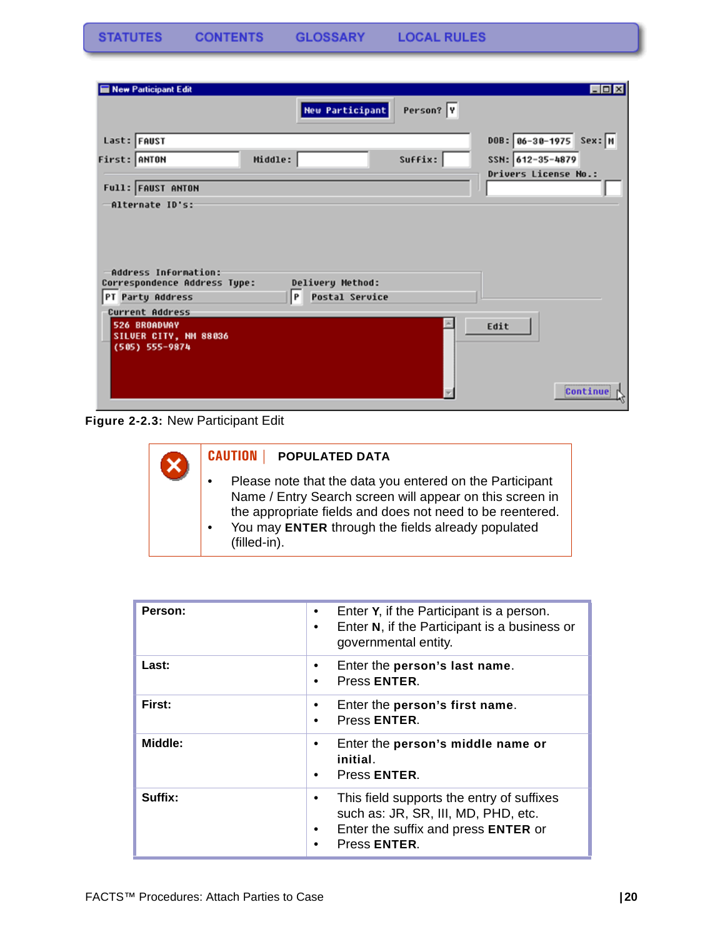**STATUTES CONTENTS GLOSSARY LOCAL RULES** 

| New Participant Edit                                                     |                                                |           | $\Box$ D x               |
|--------------------------------------------------------------------------|------------------------------------------------|-----------|--------------------------|
|                                                                          | <b>New Participant</b>                         | Person? Y |                          |
| Last: FAUST                                                              |                                                |           | $DOB: 86-38-1975$ Sex: M |
| First: ANTON                                                             | Middle:                                        | Suffix:   | SSN: 612-35-4879         |
| Full: FAUST ANTON                                                        |                                                |           | Drivers License No.:     |
| -Alternate ID's:                                                         |                                                |           |                          |
| Address Information:<br>Correspondence Address Type:<br>PT Party Address | Delivery Method:<br><b>Postal Service</b><br>P |           |                          |
| Current Address                                                          |                                                |           |                          |
| 526 BROADWAY<br>SILVER CITY, NM 88036<br>(505) 555-9874                  |                                                |           | Edit                     |
|                                                                          |                                                |           | Continue                 |

**Figure 2-2.3:** New Participant Edit

| <b>CAUTION</b><br><b>POPULATED DATA</b>                                                                                                                                                                                                                 |
|---------------------------------------------------------------------------------------------------------------------------------------------------------------------------------------------------------------------------------------------------------|
| Please note that the data you entered on the Participant<br>Name / Entry Search screen will appear on this screen in<br>the appropriate fields and does not need to be reentered.<br>You may ENTER through the fields already populated<br>(filled-in). |

| Person: | Enter Y, if the Participant is a person.<br>$\bullet$<br>Enter N, if the Participant is a business or<br>$\bullet$<br>governmental entity.                            |
|---------|-----------------------------------------------------------------------------------------------------------------------------------------------------------------------|
| Last:   | Enter the person's last name.<br>٠<br>Press ENTER.<br>٠                                                                                                               |
| First:  | Enter the person's first name.<br>Press ENTER.<br>$\bullet$                                                                                                           |
| Middle: | Enter the person's middle name or<br>٠<br>initial.<br>Press ENTER.<br>$\bullet$                                                                                       |
| Suffix: | This field supports the entry of suffixes<br>٠<br>such as: JR, SR, III, MD, PHD, etc.<br>Enter the suffix and press <b>ENTER</b> or<br>$\bullet$<br>Press ENTER.<br>٠ |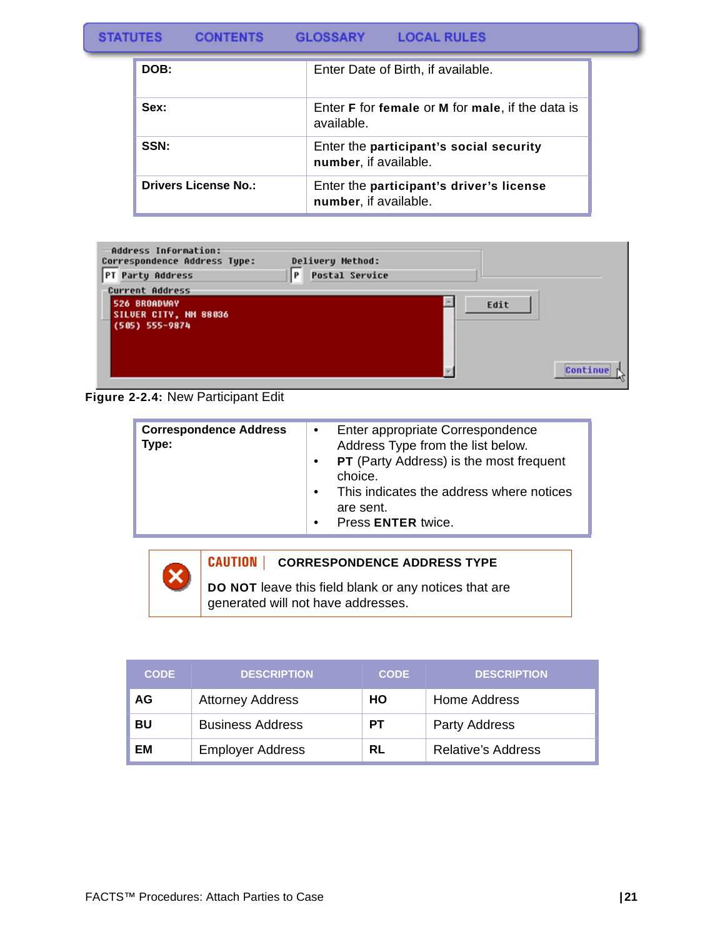| <b>LOCAL RULES</b><br><b>STATUTES</b><br><b>CONTENTS</b><br><b>GLOSSARY</b> |  |
|-----------------------------------------------------------------------------|--|
|-----------------------------------------------------------------------------|--|

| DOB:                        | Enter Date of Birth, if available.                                           |
|-----------------------------|------------------------------------------------------------------------------|
| Sex:                        | Enter <b>F</b> for female or <b>M</b> for male, if the data is<br>available. |
| SSN:                        | Enter the participant's social security<br>number, if available.             |
| <b>Drivers License No.:</b> | Enter the participant's driver's license<br>number, if available.            |

| Address Information:<br>Correspondence Address Type:<br>PT Party Address | Delivery Method:<br>P<br><b>Postal Service</b> |      |          |
|--------------------------------------------------------------------------|------------------------------------------------|------|----------|
| <b>Current Address</b>                                                   |                                                |      |          |
| 526 BROADWAY<br>SILVER CITY, NN 88036<br>(505) 555-9874                  |                                                | Edit |          |
|                                                                          |                                                |      | Continue |

**Figure 2-2.4:** New Participant Edit

| <b>Correspondence Address</b><br>Type: | Enter appropriate Correspondence<br>$\bullet$<br>Address Type from the list below.<br><b>PT</b> (Party Address) is the most frequent<br>$\bullet$<br>choice.<br>This indicates the address where notices<br>$\bullet$ |
|----------------------------------------|-----------------------------------------------------------------------------------------------------------------------------------------------------------------------------------------------------------------------|
|                                        | are sent.<br>Press ENTER twice.<br>$\bullet$                                                                                                                                                                          |



| <b>CODE</b> | <b>DESCRIPTION</b>      | <b>CODE</b> | <b>DESCRIPTION</b>        |
|-------------|-------------------------|-------------|---------------------------|
| AG          | <b>Attorney Address</b> | HO          | Home Address              |
| BU          | <b>Business Address</b> | <b>PT</b>   | <b>Party Address</b>      |
| ΕM          | <b>Employer Address</b> | RL          | <b>Relative's Address</b> |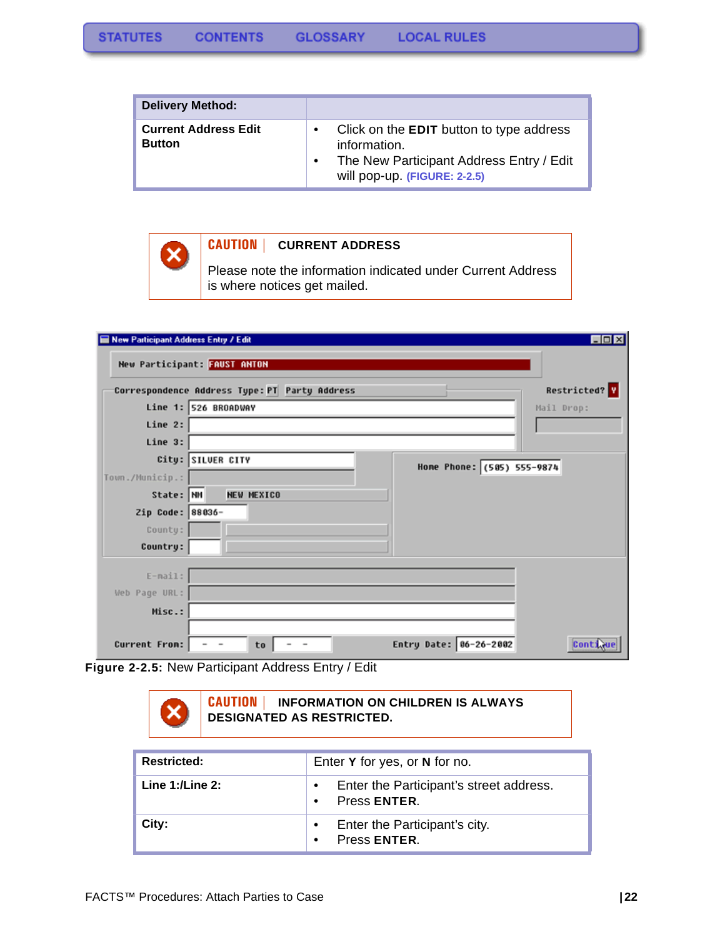| <b>Delivery Method:</b>                      |                                                                                                                                      |
|----------------------------------------------|--------------------------------------------------------------------------------------------------------------------------------------|
| <b>Current Address Edit</b><br><b>Button</b> | Click on the EDIT button to type address<br>information.<br>The New Participant Address Entry / Edit<br>will pop-up. (FIGURE: 2-2.5) |



#### **CAUTION | CURRENT ADDRESS**

Please note the information indicated under Current Address is where notices get mailed.

| New Participant Address Entry / Edit |                                                                            | EDX           |
|--------------------------------------|----------------------------------------------------------------------------|---------------|
|                                      | New Participant: FAUST ANTON                                               |               |
|                                      | Correspondence Address Type: PT Party Address                              | Restricted? Y |
|                                      | Line 1: 526 BROADWAY                                                       | Mail Drop:    |
| Line 2:                              |                                                                            |               |
| Line 3:                              |                                                                            |               |
|                                      | City: SILVER CITY<br>Home Phone: (585) 555-9874                            |               |
| Town./Municip.:                      |                                                                            |               |
| State: NM                            | <b>NEW MEXICO</b>                                                          |               |
| Zip Code: 88036-                     |                                                                            |               |
| County:                              |                                                                            |               |
| Country:                             |                                                                            |               |
| $E - mail:$                          |                                                                            |               |
| Web Page URL:                        |                                                                            |               |
| Misc.:                               |                                                                            |               |
|                                      |                                                                            |               |
| Current From:                        | Entry Date: 06-26-2002<br>$\overline{\phantom{a}}$<br>to<br>$\overline{a}$ | Contin        |

**Figure 2-2.5:** New Participant Address Entry / Edit



| <b>Restricted:</b>   | Enter Y for yes, or N for no.                           |
|----------------------|---------------------------------------------------------|
| Line $1:$ /Line $2:$ | Enter the Participant's street address.<br>Press ENTER. |
| City:                | Enter the Participant's city.<br>Press ENTER.           |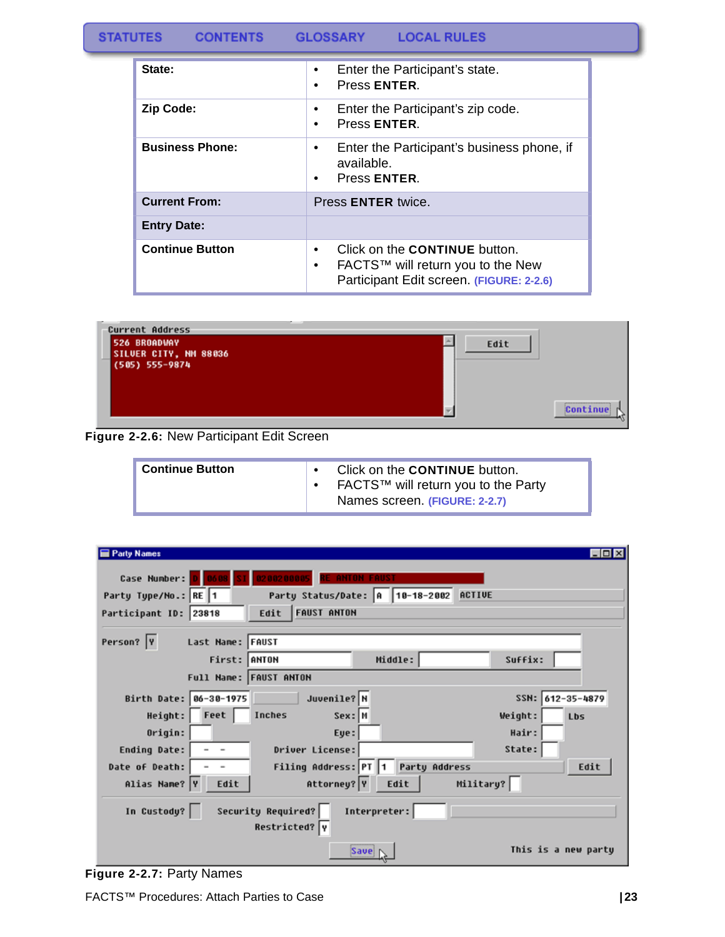#### **STATUTES CONTENTS GLOSSARY LOCAL RULES**

| State:                 | Enter the Participant's state.<br>٠<br>Press ENTER.<br>$\bullet$                                                                                |
|------------------------|-------------------------------------------------------------------------------------------------------------------------------------------------|
| <b>Zip Code:</b>       | Enter the Participant's zip code.<br>$\bullet$<br>Press ENTER.<br>$\bullet$                                                                     |
| <b>Business Phone:</b> | Enter the Participant's business phone, if<br>٠<br>available.<br>Press ENTER.<br>٠                                                              |
| <b>Current From:</b>   | Press <b>ENTER</b> twice.                                                                                                                       |
| <b>Entry Date:</b>     |                                                                                                                                                 |
| <b>Continue Button</b> | Click on the <b>CONTINUE</b> button.<br>$\bullet$<br>FACTS™ will return you to the New<br>$\bullet$<br>Participant Edit screen. (FIGURE: 2-2.6) |



**Figure 2-2.6:** New Participant Edit Screen

| <b>Continue Button</b> |  | Click on the CONTINUE button.<br>FACTS™ will return you to the Party<br>Names screen (FIGURE: 2-2.7) |  |
|------------------------|--|------------------------------------------------------------------------------------------------------|--|
|------------------------|--|------------------------------------------------------------------------------------------------------|--|

| <b>Party Names</b><br>$\Box$ ol $\times$                               |
|------------------------------------------------------------------------|
| Case Number:<br>0200200005<br><b>E ANTON FAUST</b>                     |
| Party Status/Date: A 10-18-2002 ACTIVE<br>Party Type/No.: RE 1         |
| <b>FAUST ANTON</b><br>Edit<br>Participant ID: 23818                    |
| Person?  Y<br>Last Name: FAUST                                         |
| First: ANTON<br>Middle:<br>Suffix:                                     |
| Full Name: FAUST ANTON                                                 |
| Juvenile? N<br>SSN: 612-35-4879<br>Birth Date: 06-30-1975              |
| Height: Feet<br>Inches<br>Sex: M<br>Weight:<br><b>Lbs</b>              |
| Origin:<br>Hair:<br>Eye:                                               |
| State:<br>Driver License:<br>Ending Date:<br>$\overline{\phantom{a}}$  |
| Filing Address: PT 1<br><b>Party Address</b><br>Date of Death:<br>Edit |
| Attorney? Y<br>Military?<br>Alias Name? Y<br>Edit<br>Edit              |
| In Custody?<br>Security Required?<br>Interpreter:<br>Restricted? Y     |
| This is a new party<br>Save                                            |

<span id="page-23-0"></span>**Figure 2-2.7:** Party Names

FACTS™ Procedures: Attach Parties to Case **| 23**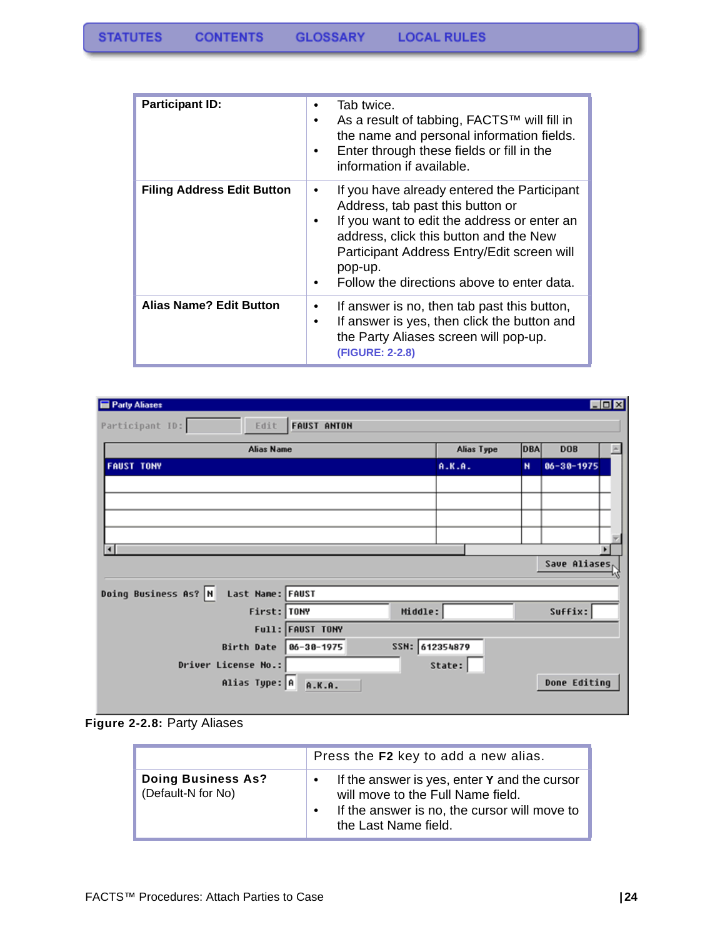| <b>Participant ID:</b>            | Tab twice.<br>$\bullet$<br>As a result of tabbing, FACTS™ will fill in<br>the name and personal information fields.<br>Enter through these fields or fill in the<br>$\bullet$<br>information if available.                                                                                             |
|-----------------------------------|--------------------------------------------------------------------------------------------------------------------------------------------------------------------------------------------------------------------------------------------------------------------------------------------------------|
| <b>Filing Address Edit Button</b> | If you have already entered the Participant<br>$\bullet$<br>Address, tab past this button or<br>If you want to edit the address or enter an<br>٠<br>address, click this button and the New<br>Participant Address Entry/Edit screen will<br>pop-up.<br>Follow the directions above to enter data.<br>٠ |
| <b>Alias Name? Edit Button</b>    | If answer is no, then tab past this button,<br>$\bullet$<br>If answer is yes, then click the button and<br>$\bullet$<br>the Party Aliases screen will pop-up.<br>(FIGURE: 2-2.8)                                                                                                                       |

| Party Aliases                            |                              |            |              |                  | $\Box$ DIX |
|------------------------------------------|------------------------------|------------|--------------|------------------|------------|
| Participant ID:<br>Edit                  | <b>FAUST ANTON</b>           |            |              |                  |            |
| <b>Alias Name</b>                        |                              | Alias Type | <b>DBA</b>   | <b>DOB</b>       |            |
| <b>FAUST TONY</b>                        |                              | A.K.A.     | $\mathbf{N}$ | $06 - 30 - 1975$ |            |
|                                          |                              |            |              |                  |            |
|                                          |                              |            |              |                  |            |
|                                          |                              |            |              |                  |            |
|                                          |                              |            |              |                  |            |
| $\blacksquare$                           |                              |            |              | Save Aliases     |            |
|                                          |                              |            |              |                  |            |
| Doing Business As? N<br>Last Name: FAUST |                              |            |              |                  |            |
| First: TONY                              | Middle:                      |            |              | Suffix:          |            |
|                                          | Full: FAUST TONY             |            |              |                  |            |
| Birth Date                               | SSN: 612354879<br>86-38-1975 |            |              |                  |            |
| Driver License No.:                      |                              | State:     |              |                  |            |
| Alias Type: A                            | A.K.A.                       |            |              | Done Editing     |            |
|                                          |                              |            |              |                  |            |



|                                                 | Press the F2 key to add a new alias.                                                                                                                                                |
|-------------------------------------------------|-------------------------------------------------------------------------------------------------------------------------------------------------------------------------------------|
| <b>Doing Business As?</b><br>(Default-N for No) | If the answer is yes, enter Y and the cursor<br>$\bullet$<br>will move to the Full Name field.<br>If the answer is no, the cursor will move to<br>$\bullet$<br>the Last Name field. |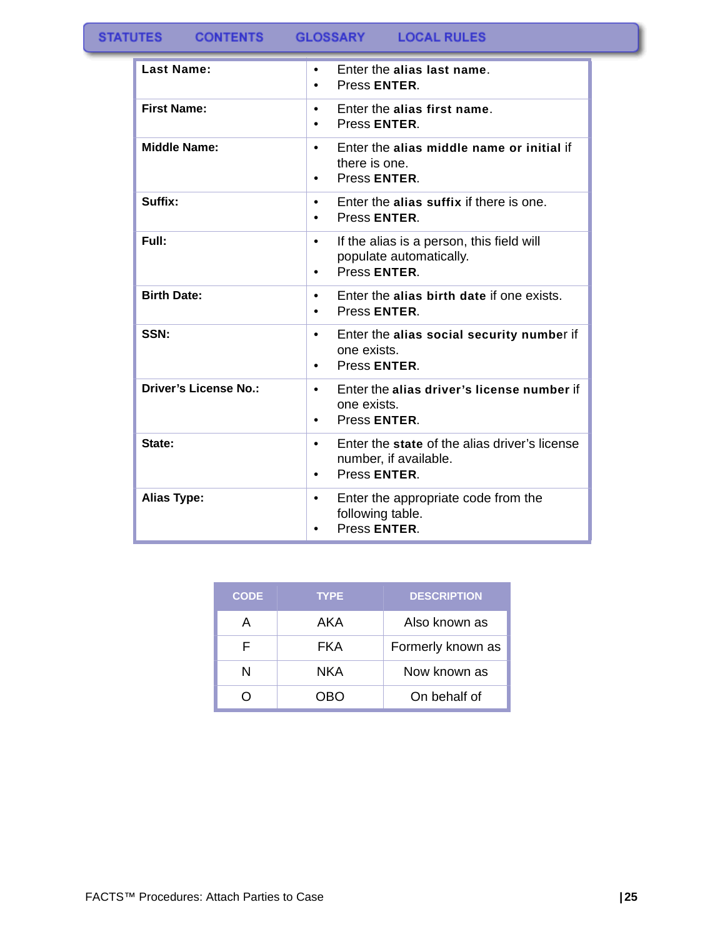| Last Name:                   | Enter the alias last name.<br>$\bullet$<br>Press ENTER.<br>$\bullet$                                             |
|------------------------------|------------------------------------------------------------------------------------------------------------------|
| <b>First Name:</b>           | Enter the alias first name.<br>$\bullet$<br>Press ENTER.<br>$\bullet$                                            |
| <b>Middle Name:</b>          | Enter the alias middle name or initial if<br>$\bullet$<br>there is one.<br>Press ENTER.<br>$\bullet$             |
| Suffix:                      | Enter the alias suffix if there is one.<br>$\bullet$<br>Press ENTER.<br>$\bullet$                                |
| Full:                        | If the alias is a person, this field will<br>$\bullet$<br>populate automatically.<br>Press ENTER.<br>$\bullet$   |
| <b>Birth Date:</b>           | Enter the alias birth date if one exists.<br>$\bullet$<br>Press ENTER.<br>$\bullet$                              |
| SSN:                         | Enter the alias social security number if<br>$\bullet$<br>one exists.<br>Press ENTER.<br>$\bullet$               |
| <b>Driver's License No.:</b> | Enter the alias driver's license number if<br>$\bullet$<br>one exists.<br>Press ENTER.<br>٠                      |
| State:                       | Enter the state of the alias driver's license<br>$\bullet$<br>number, if available.<br>Press ENTER.<br>$\bullet$ |
| <b>Alias Type:</b>           | Enter the appropriate code from the<br>$\bullet$<br>following table.<br>Press ENTER.<br>$\bullet$                |

| <b>CODE</b> | <b>TYPE</b> | <b>DESCRIPTION</b> |
|-------------|-------------|--------------------|
| А           | AKA         | Also known as      |
| F           | FKA         | Formerly known as  |
| N           | NKA         | Now known as       |
|             | ORO         | On behalf of       |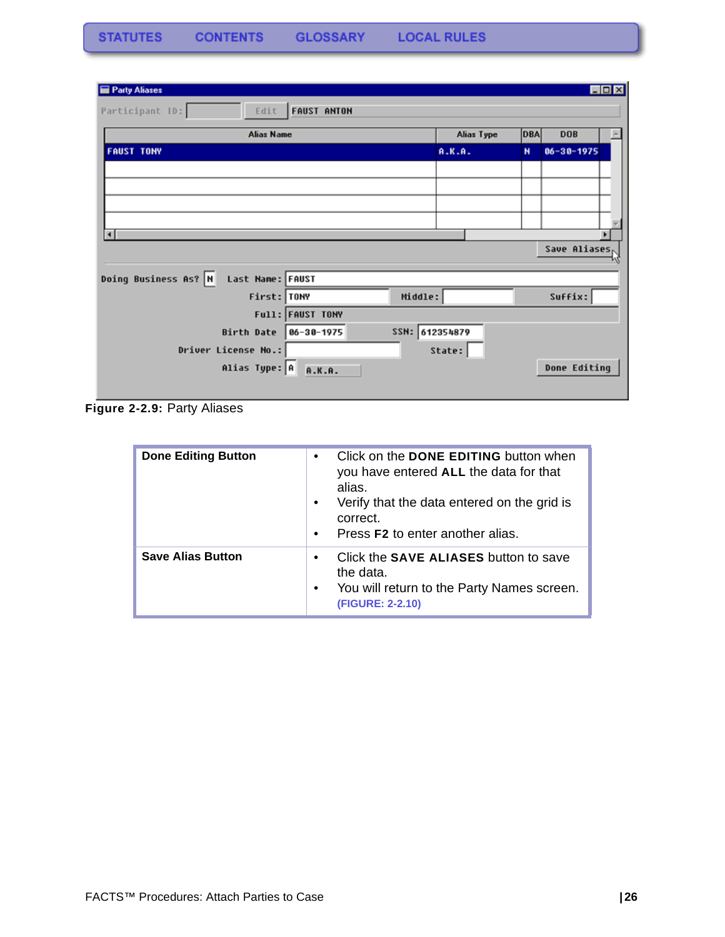| Party Aliases                            |                              |            |              |                  | $\Box$ o $\times$ |
|------------------------------------------|------------------------------|------------|--------------|------------------|-------------------|
| Participant ID:<br>Edit                  | <b>FAUST ANTON</b>           |            |              |                  |                   |
| <b>Alias Name</b>                        |                              | Alias Type | <b>DBA</b>   | <b>DOB</b>       |                   |
| <b>FAUST TONY</b>                        |                              | A.K.A.     | $\mathbf{N}$ | $06 - 30 - 1975$ |                   |
|                                          |                              |            |              |                  |                   |
|                                          |                              |            |              |                  |                   |
|                                          |                              |            |              |                  |                   |
|                                          |                              |            |              |                  |                   |
| $\vert$ 4                                |                              |            |              |                  |                   |
|                                          |                              |            |              | Save Aliases,    |                   |
| Doing Business As? N<br>Last Name: FAUST |                              |            |              |                  |                   |
| First: TONY                              | Middle:                      |            |              | Suffix:          |                   |
|                                          | Full: FAUST TONY             |            |              |                  |                   |
| Birth Date                               | SSN: 612354879<br>86-38-1975 |            |              |                  |                   |
| Driver License No.:                      |                              | State:     |              |                  |                   |
| Alias Type: A A.K.A.                     |                              |            |              | Done Editing     |                   |
|                                          |                              |            |              |                  |                   |

**Figure 2-2.9:** Party Aliases

| <b>Done Editing Button</b> | Click on the DONE EDITING button when<br>$\bullet$<br>you have entered ALL the data for that<br>alias.<br>Verify that the data entered on the grid is<br>$\bullet$<br>correct.<br>Press <b>F2</b> to enter another alias.<br>$\bullet$ |
|----------------------------|----------------------------------------------------------------------------------------------------------------------------------------------------------------------------------------------------------------------------------------|
| <b>Save Alias Button</b>   | Click the SAVE ALIASES button to save<br>$\bullet$<br>the data.<br>You will return to the Party Names screen.<br>$\bullet$<br>(FIGURE: 2-2.10)                                                                                         |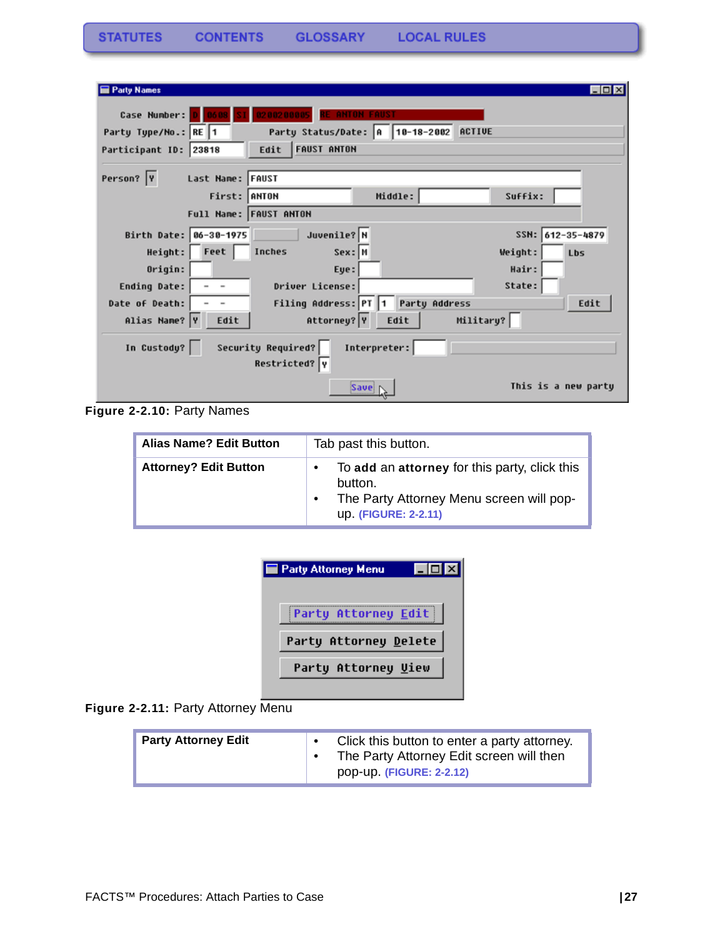| <b>Party Names</b>                                                 | -101                |
|--------------------------------------------------------------------|---------------------|
| 0200200005<br>Case Number:<br><b>ANTON FAUST</b>                   |                     |
| Party Status/Date: A 10-18-2002 ACTIVE<br>Party Type/No.: RE 1     |                     |
| <b>FAUST ANTON</b><br>Participant ID: 23818<br>Edit                |                     |
| Person?  Y<br>Last Name: FAUST                                     |                     |
| First: ANTON<br>Middle:                                            | Suffix:             |
| Full Name: FAUST ANTON                                             |                     |
| Juvenile? N<br>Birth Date: 06-30-1975                              | SSN: 612-35-4879    |
| Height: Feet<br>Inches<br>Sex: M                                   | Weight:<br>Lbs      |
| Origin:<br>Eye:                                                    | Hair:               |
| Driver License:<br><b>Ending Date:</b><br>$\sim$                   | State:              |
| <b>Party Address</b><br>Filing Address: PT 1<br>Date of Death:     | Edit                |
| Attorney? Y<br>Military?<br>Alias Name? Y<br>Edit<br>Edit          |                     |
| In Custody?<br>Security Required?<br>Interpreter:<br>Restricted? Y |                     |
| Save                                                               | This is a new party |

**Figure 2-2.10:** Party Names

| <b>Alias Name? Edit Button</b> | Tab past this button.                                                                                                        |  |  |
|--------------------------------|------------------------------------------------------------------------------------------------------------------------------|--|--|
| <b>Attorney? Edit Button</b>   | To add an attorney for this party, click this<br>button.<br>The Party Attorney Menu screen will pop-<br>up. (FIGURE: 2-2.11) |  |  |

| <b>Party Attorney Menu</b> |  |
|----------------------------|--|
| Party Attorney Edit        |  |
| Party Attorney Delete      |  |
| Party Attorney Uiew        |  |
|                            |  |

Figure 2-2.11: Party Attorney Menu

| <b>Party Attorney Edit</b> | Click this button to enter a party attorney.<br>The Party Attorney Edit screen will then<br>pop-up. (FIGURE: 2-2.12) |
|----------------------------|----------------------------------------------------------------------------------------------------------------------|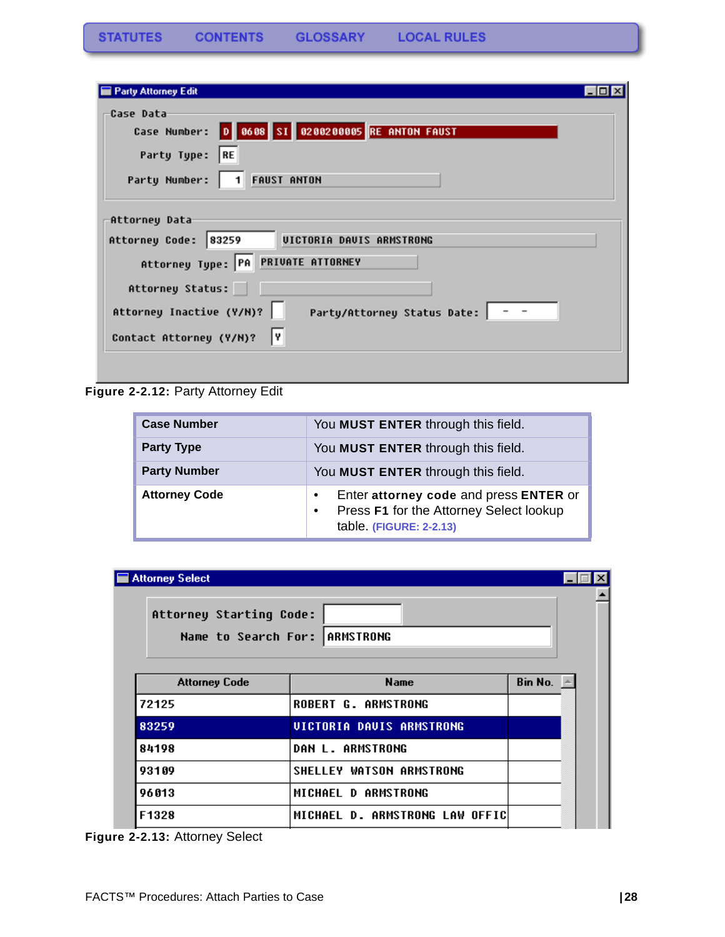| <b>Party Attorney Edit</b>                                                                                                         |  |
|------------------------------------------------------------------------------------------------------------------------------------|--|
| Case Data<br>Case Number: 0 0608 SI 0200200005 RE ANTON FAUST<br> RE<br>Party Type:<br><b>FAUST ANTON</b><br>Party Number:<br>l 11 |  |
| Attorney Data<br>UICTORIA DAUIS ARMSTRONG<br>Attorney Code:<br>83259<br>Attorney Type: PA PRIVATE ATTORNEY                         |  |
| Attorney Status:<br>Attorney Inactive (Y/N)?<br>Party/Attorney Status Date:   - -<br>I۷<br>Contact Attorney (Y/N)?                 |  |

**Figure 2-2.12:** Party Attorney Edit

| <b>Case Number</b>   | You MUST ENTER through this field.                                                                                        |
|----------------------|---------------------------------------------------------------------------------------------------------------------------|
| <b>Party Type</b>    | You MUST ENTER through this field.                                                                                        |
| <b>Party Number</b>  | You MUST ENTER through this field.                                                                                        |
| <b>Attorney Code</b> | Enter attorney code and press ENTER or<br>Press F1 for the Attorney Select lookup<br>$\bullet$<br>table. (FIGURE: 2-2.13) |

| <b>Attorney Select</b>                                   |                                 |         |  |  |
|----------------------------------------------------------|---------------------------------|---------|--|--|
| Attorney Starting Code:<br>Name to Search For: ARMSTRONG |                                 |         |  |  |
| <b>Attorney Code</b>                                     | <b>Name</b>                     | Bin No. |  |  |
| 72125                                                    | <b>ROBERT G. ARMSTRONG</b>      |         |  |  |
| 83259                                                    | <b>UICTORIA DAUIS ARMSTRONG</b> |         |  |  |
| 84198                                                    | <b>DAN L. ARMSTRONG</b>         |         |  |  |
| 93109                                                    | <b>SHELLEY WATSON ARMSTRONG</b> |         |  |  |
| 96013                                                    | MICHAEL D ARMSTRONG             |         |  |  |
| F1328                                                    | MICHAEL D. ARMSTRONG LAW OFFIC  |         |  |  |

**Figure 2-2.13:** Attorney Select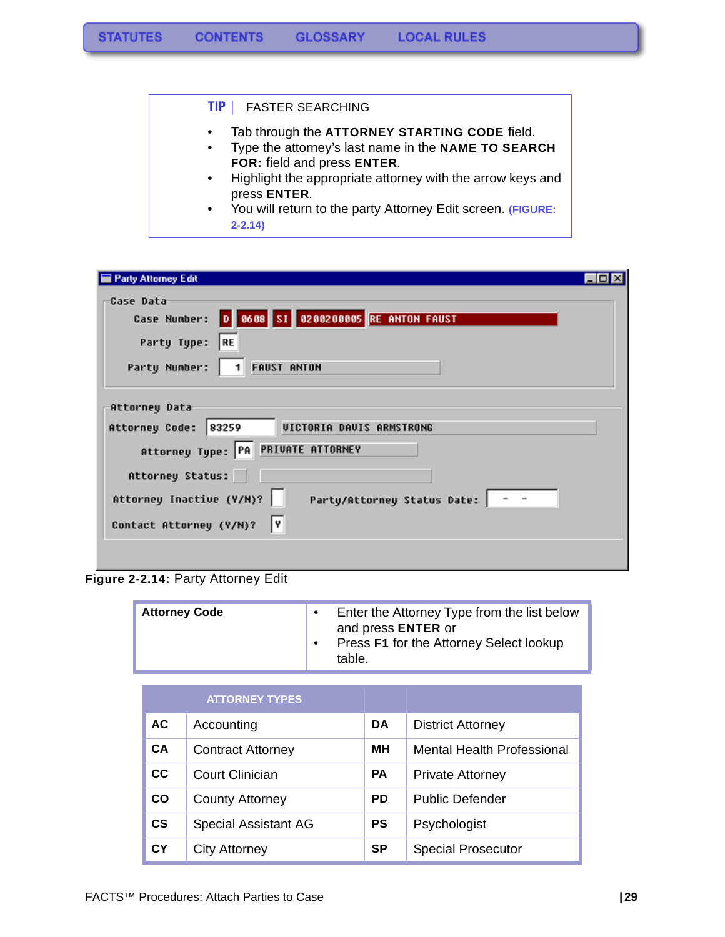#### **TIP |** FASTER SEARCHING

- Tab through the **ATTORNEY STARTING CODE** field.
- Type the attorney's last name in the **NAME TO SEARCH FOR:** field and press **ENTER**.
- Highlight the appropriate attorney with the arrow keys and press **ENTER**.
- You will return to the party Attorney Edit screen. **(FIGURE: 2-2.14)**

| <b>Party Attorney Edit</b>                                                                                         |
|--------------------------------------------------------------------------------------------------------------------|
| <b>Case Data</b><br>Case Number: 0 0608 SI 0200200005 RE ANTON FAUST<br> RE<br>Party Type:                         |
| 1 FAUST ANTON<br>Party Number:                                                                                     |
| Attorney Data<br>UICTORIA DAVIS ARMSTRONG<br>Attorney Code:<br>83259<br>Attorney Type: PA PRIVATE ATTORNEY         |
| Attorney Status:<br>Attorney Inactive (Y/N)?<br>Party/Attorney Status Date:   - -<br>I۷<br>Contact Attorney (Y/N)? |
|                                                                                                                    |

### **Figure 2-2.14:** Party Attorney Edit

| <b>Attorney Code</b> |  | Enter the Attorney Type from the list below<br>and press <b>ENTER</b> or<br>Press F1 for the Attorney Select lookup<br>table. |
|----------------------|--|-------------------------------------------------------------------------------------------------------------------------------|
|----------------------|--|-------------------------------------------------------------------------------------------------------------------------------|

|               | <b>ATTORNEY TYPES</b>       |           |                                   |
|---------------|-----------------------------|-----------|-----------------------------------|
| <b>AC</b>     | Accounting                  | DA.       | <b>District Attorney</b>          |
| <b>CA</b>     | <b>Contract Attorney</b>    | MН        | <b>Mental Health Professional</b> |
| cc            | Court Clinician             | <b>PA</b> | <b>Private Attorney</b>           |
| co            | <b>County Attorney</b>      | <b>PD</b> | <b>Public Defender</b>            |
| $\mathsf{cs}$ | <b>Special Assistant AG</b> | <b>PS</b> | Psychologist                      |
| СY            | <b>City Attorney</b>        | <b>SP</b> | <b>Special Prosecutor</b>         |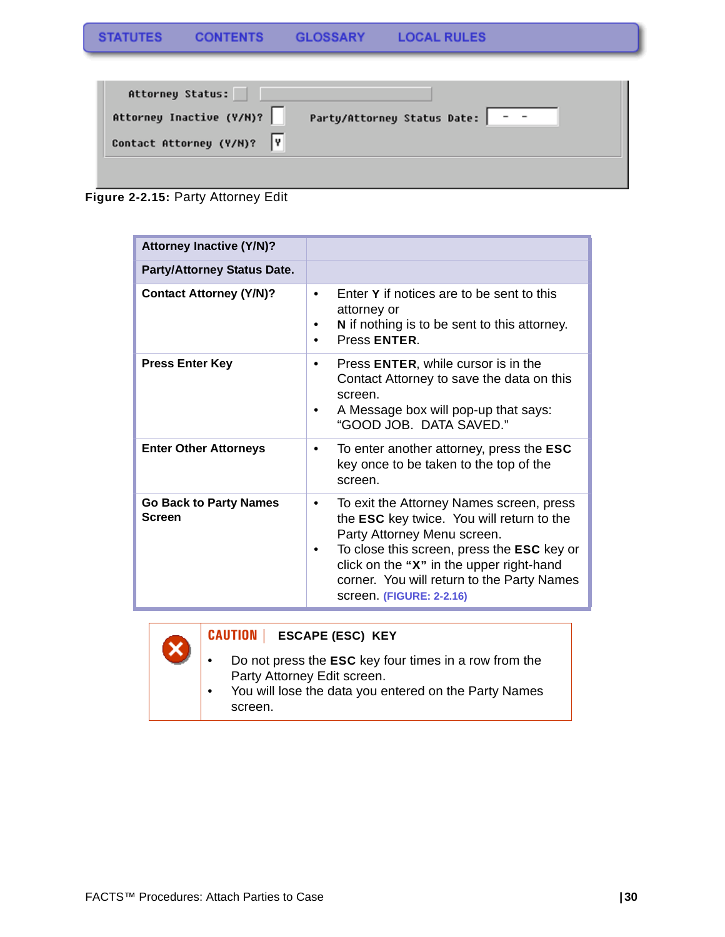| Attorney Status:           |                             |
|----------------------------|-----------------------------|
| Attorney Inactive (Y/N)?   | Party/Attorney Status Date: |
| Contact Attorney (Y/N)?  Y |                             |
|                            |                             |

**Figure 2-2.15:** Party Attorney Edit

| <b>Attorney Inactive (Y/N)?</b>                |                                                                                                                                                                                                                                                                                                        |
|------------------------------------------------|--------------------------------------------------------------------------------------------------------------------------------------------------------------------------------------------------------------------------------------------------------------------------------------------------------|
| <b>Party/Attorney Status Date.</b>             |                                                                                                                                                                                                                                                                                                        |
| <b>Contact Attorney (Y/N)?</b>                 | Enter Y if notices are to be sent to this<br>attorney or<br>N if nothing is to be sent to this attorney.<br>Press ENTER.                                                                                                                                                                               |
| <b>Press Enter Key</b>                         | Press <b>ENTER</b> , while cursor is in the<br>Contact Attorney to save the data on this<br>screen.<br>A Message box will pop-up that says:<br>"GOOD JOB. DATA SAVED."                                                                                                                                 |
| <b>Enter Other Attorneys</b>                   | To enter another attorney, press the ESC<br>$\bullet$<br>key once to be taken to the top of the<br>screen.                                                                                                                                                                                             |
| <b>Go Back to Party Names</b><br><b>Screen</b> | To exit the Attorney Names screen, press<br>the <b>ESC</b> key twice. You will return to the<br>Party Attorney Menu screen.<br>To close this screen, press the <b>ESC</b> key or<br>click on the "X" in the upper right-hand<br>corner. You will return to the Party Names<br>screen. (FIGURE: 2-2.16) |



### **CAUTION | ESCAPE (ESC) KEY**

• Do not press the **ESC** key four times in a row from the Party Attorney Edit screen.

• You will lose the data you entered on the Party Names screen.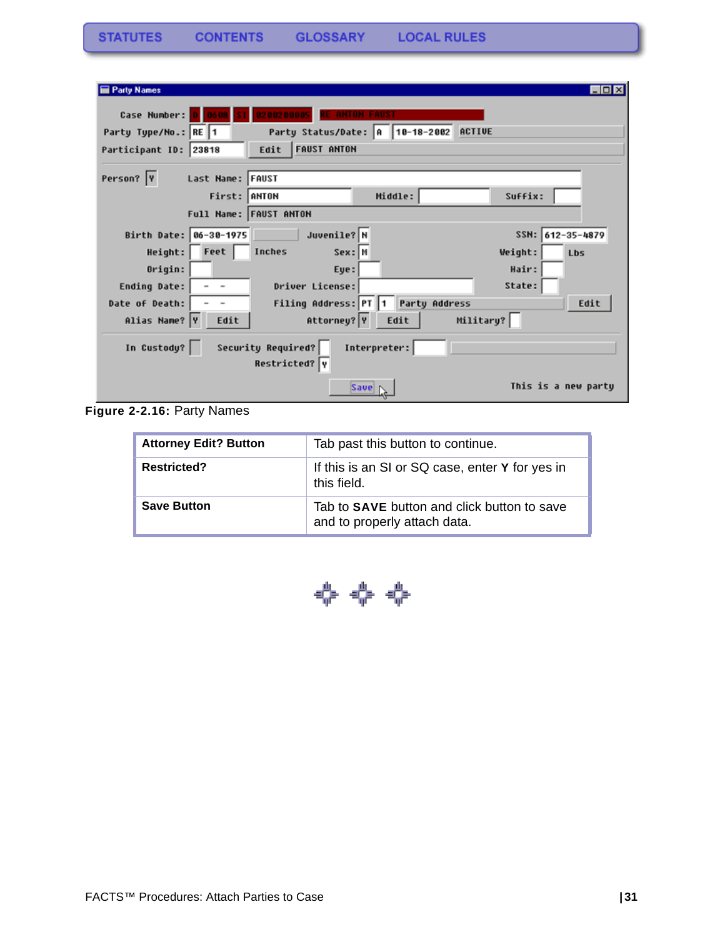| <b>Party Names</b>                                                | - 101               |
|-------------------------------------------------------------------|---------------------|
| 0200200005<br>Case Number:<br><b>ANTON FAUST</b>                  |                     |
| Party Status/Date: 0 10-18-2002<br>ACTIVE<br>Party Type/No.: RE 1 |                     |
| <b>FAUST ANTON</b><br>Participant ID: 23818<br>Edit               |                     |
|                                                                   |                     |
| Person?  Y<br>Last Name: FAUST                                    |                     |
| Middle:<br>First: ANTON                                           | Suffix:             |
| Full Name: FAUST ANTON                                            |                     |
| Juvenile? N<br>Birth Date: 06-30-1975                             | SSN: 612-35-4879    |
| Feet<br>Inches<br>Height:<br>Sex: M                               | Weight:<br>Lbs      |
| Origin:<br>Eye:                                                   | Hair:               |
| Driver License:<br>Ending Date:                                   | State:              |
| <b>Party Address</b><br>Filing Address: PT 1<br>Date of Death:    | Edit                |
| Military?<br>Attorney? Y<br>Alias Name?  Y<br>Edit<br>Edit        |                     |
| In Custody?<br>Security Required?<br>Interpreter:                 |                     |
| Restricted? Y                                                     |                     |
| Save                                                              | This is a new party |

**Figure 2-2.16:** Party Names

| <b>Attorney Edit? Button</b> | Tab past this button to continue.                                           |
|------------------------------|-----------------------------------------------------------------------------|
| <b>Restricted?</b>           | If this is an SI or SQ case, enter Y for yes in<br>this field.              |
| <b>Save Button</b>           | Tab to SAVE button and click button to save<br>and to properly attach data. |

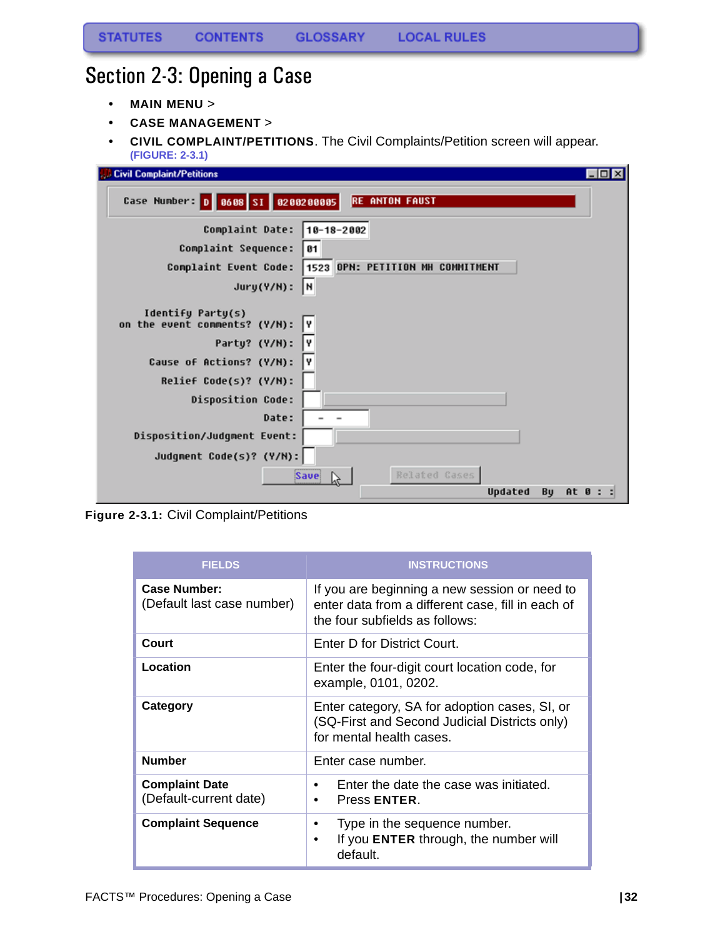# <span id="page-32-0"></span>Section 2-3: Opening a Case

- **MAIN MENU** >
- **CASE MANAGEMENT** >
- **CIVIL COMPLAINT/PETITIONS**. The Civil Complaints/Petition screen will appear. **(FIGURE: 2-3.1)**

| <b>Civil Complaint/Petitions</b>                           | EOX   |
|------------------------------------------------------------|-------|
| Case Number: 0 0608 SI 0200200005<br><b>RE ANTON FAUST</b> |       |
| Complaint Date:<br>$10 - 18 - 2002$                        |       |
| Complaint Sequence:<br>81                                  |       |
| 1523 OPN: PETITION MH COMMITMENT<br>Complaint Event Code:  |       |
| I۲<br>$Jury(Y/N)$ :                                        |       |
| Identify Party(s)<br>on the event comments? (Y/N):<br>I۷   |       |
| I۷<br>Party? (Y/N):                                        |       |
| γ<br>Cause of Actions? (Y/N):                              |       |
| Relief Code(s)? (Y/N):                                     |       |
| <b>Disposition Code:</b>                                   |       |
| Date:                                                      |       |
| Disposition/Judgment Event:                                |       |
| Judgment Code(s)? (Y/N):                                   |       |
| Related Cases<br><b>Save</b>                               |       |
| Updated<br>Bu                                              | At 0: |

**Figure 2-3.1:** Civil Complaint/Petitions

| <b>FIELDS</b>                                   | <b>INSTRUCTIONS</b>                                                                                                                  |  |
|-------------------------------------------------|--------------------------------------------------------------------------------------------------------------------------------------|--|
| Case Number:<br>(Default last case number)      | If you are beginning a new session or need to<br>enter data from a different case, fill in each of<br>the four subfields as follows: |  |
| Court                                           | Enter D for District Court.                                                                                                          |  |
| Location                                        | Enter the four-digit court location code, for<br>example, 0101, 0202.                                                                |  |
| Category                                        | Enter category, SA for adoption cases, SI, or<br>(SQ-First and Second Judicial Districts only)<br>for mental health cases.           |  |
| <b>Number</b>                                   | Enter case number.                                                                                                                   |  |
| <b>Complaint Date</b><br>(Default-current date) | Enter the date the case was initiated.<br>٠<br>Press ENTER.<br>٠                                                                     |  |
| <b>Complaint Sequence</b>                       | Type in the sequence number.<br>٠<br>If you ENTER through, the number will<br>٠<br>default.                                          |  |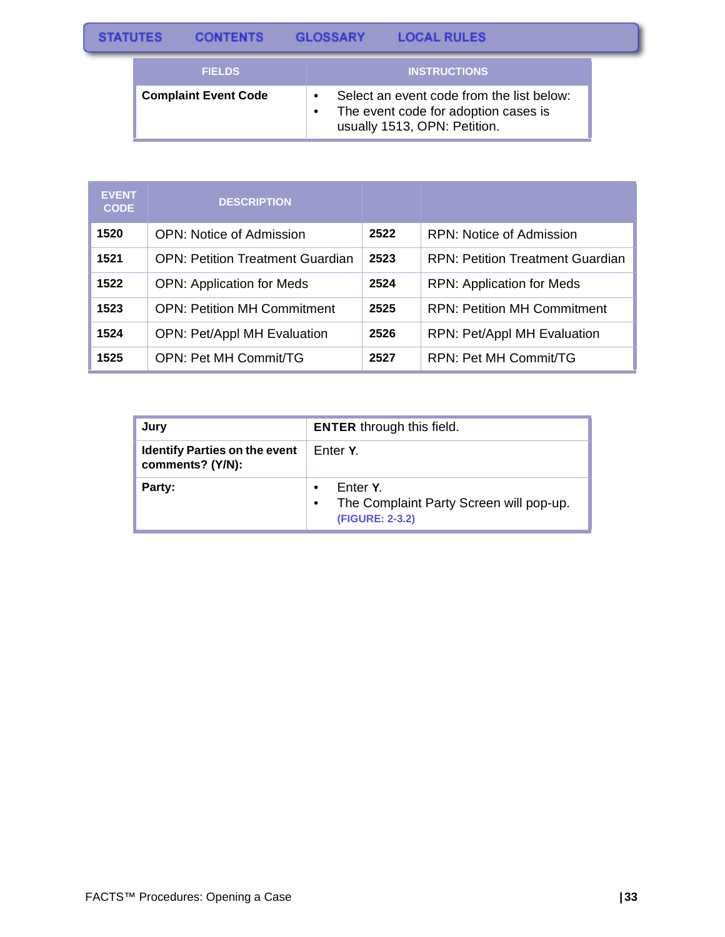| <b>STATUTES</b> | <b>CONTENTS</b> | <b>GLOSSARY</b> | <b>LOCAL RULES</b> |  |
|-----------------|-----------------|-----------------|--------------------|--|
|                 | _______         |                 |                    |  |

| <b>FIELDS</b>               | <b>INSTRUCTIONS</b>                                                                                               |
|-----------------------------|-------------------------------------------------------------------------------------------------------------------|
| <b>Complaint Event Code</b> | Select an event code from the list below:<br>The event code for adoption cases is<br>usually 1513, OPN: Petition. |

| <b>EVENT</b><br><b>CODE</b> | <b>DESCRIPTION</b>                      |      |                                         |
|-----------------------------|-----------------------------------------|------|-----------------------------------------|
| 1520                        | <b>OPN:</b> Notice of Admission         | 2522 | RPN: Notice of Admission                |
| 1521                        | <b>OPN: Petition Treatment Guardian</b> | 2523 | <b>RPN: Petition Treatment Guardian</b> |
| 1522                        | <b>OPN: Application for Meds</b>        | 2524 | <b>RPN: Application for Meds</b>        |
| 1523                        | <b>OPN: Petition MH Commitment</b>      | 2525 | <b>RPN: Petition MH Commitment</b>      |
| 1524                        | <b>OPN: Pet/Appl MH Evaluation</b>      | 2526 | <b>RPN: Pet/Appl MH Evaluation</b>      |
| 1525                        | <b>OPN: Pet MH Commit/TG</b>            | 2527 | RPN: Pet MH Commit/TG                   |

| Jury                                                     | <b>ENTER</b> through this field.                                       |  |
|----------------------------------------------------------|------------------------------------------------------------------------|--|
| <b>Identify Parties on the event</b><br>comments? (Y/N): | Enter Y.                                                               |  |
| Party:                                                   | Enter Y.<br>The Complaint Party Screen will pop-up.<br>(FIGURE: 2-3.2) |  |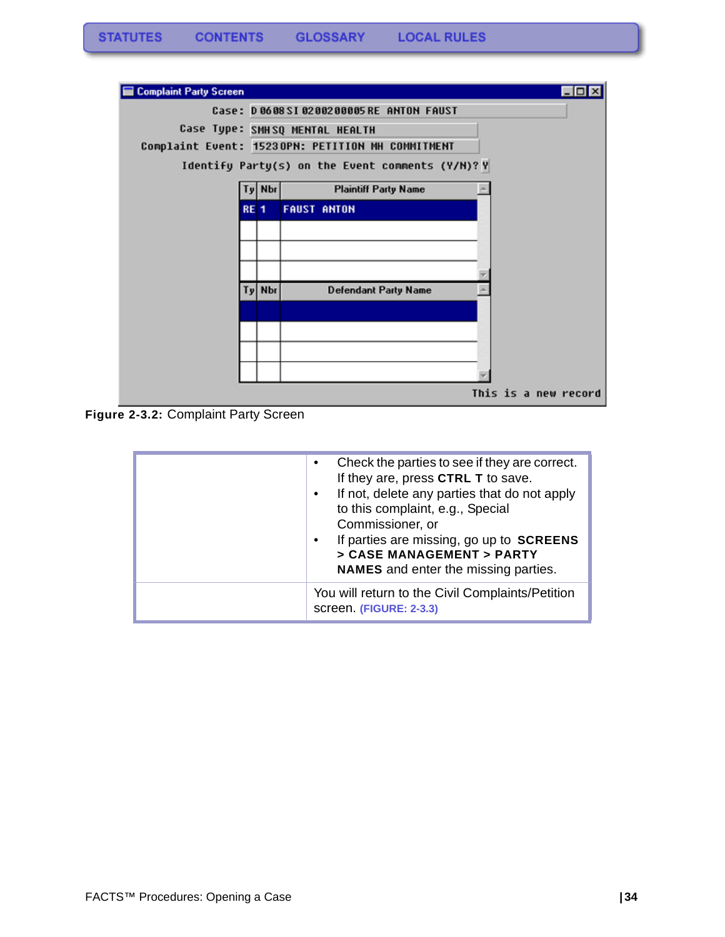

**Figure 2-3.2:** Complaint Party Screen

| Check the parties to see if they are correct.<br>$\bullet$<br>If they are, press CTRL T to save.<br>If not, delete any parties that do not apply<br>$\bullet$<br>to this complaint, e.g., Special<br>Commissioner, or<br>If parties are missing, go up to SCREENS<br>> CASE MANAGEMENT > PARTY<br><b>NAMES</b> and enter the missing parties. |
|-----------------------------------------------------------------------------------------------------------------------------------------------------------------------------------------------------------------------------------------------------------------------------------------------------------------------------------------------|
| You will return to the Civil Complaints/Petition<br>screen. (FIGURE: 2-3.3)                                                                                                                                                                                                                                                                   |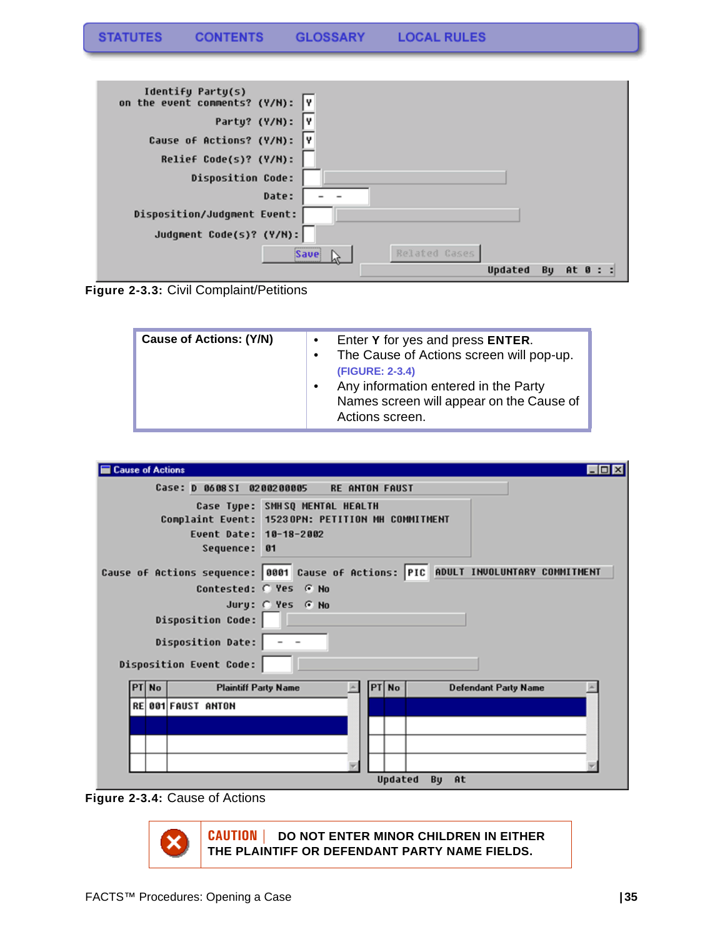| Identify Party(s)<br>on the event comments? (Y/N): Y |                      |
|------------------------------------------------------|----------------------|
| Party? (Y/N):                                        |                      |
| Cause of Actions? (Y/N):<br>l٧                       |                      |
| Relief Code(s)? (Y/N):                               |                      |
| <b>Disposition Code:</b>                             |                      |
| Date:                                                |                      |
| Disposition/Judgment Event:                          |                      |
| Judgment Code(s)? (Y/N):                             |                      |
| Save!                                                | Related Cases        |
|                                                      | Updated<br>Bu<br>At. |

**Figure 2-3.3:** Civil Complaint/Petitions

| <b>Cause of Actions: (Y/N)</b> | Enter Y for yes and press ENTER.<br>$\bullet$<br>The Cause of Actions screen will pop-up.<br>(FIGURE: 2-3.4)<br>Any information entered in the Party<br>$\bullet$<br>Names screen will appear on the Cause of<br>Actions screen. |
|--------------------------------|----------------------------------------------------------------------------------------------------------------------------------------------------------------------------------------------------------------------------------|
|--------------------------------|----------------------------------------------------------------------------------------------------------------------------------------------------------------------------------------------------------------------------------|

| <b>Cause of Actions</b>                                                                                                      | $\Box$ o x                                                                         |  |  |  |  |  |
|------------------------------------------------------------------------------------------------------------------------------|------------------------------------------------------------------------------------|--|--|--|--|--|
|                                                                                                                              | Case: D 0608SI 0200200005 RE ANTON FAUST                                           |  |  |  |  |  |
| Case Type: SMHSQ MENTAL HEALTH<br>Complaint Event: 15230PN: PETITION MH COMMITMENT<br>Event Date: 10-18-2002<br>Sequence: 01 |                                                                                    |  |  |  |  |  |
|                                                                                                                              | Cause of Actions sequence: 0001 Cause of Actions: PIC ADULT INVOLUNTARY COMMITMENT |  |  |  |  |  |
| Contested: C Yes G No                                                                                                        | Jury: C Yes G No                                                                   |  |  |  |  |  |
| <b>Disposition Code:</b>                                                                                                     |                                                                                    |  |  |  |  |  |
| Disposition Date:                                                                                                            |                                                                                    |  |  |  |  |  |
| Disposition Event Code:                                                                                                      |                                                                                    |  |  |  |  |  |
| <b>Plaintiff Party Name</b><br><b>No</b>                                                                                     | PT No<br><b>Defendant Party Name</b>                                               |  |  |  |  |  |
| <b>RE 001 FAUST ANTON</b>                                                                                                    |                                                                                    |  |  |  |  |  |
|                                                                                                                              |                                                                                    |  |  |  |  |  |
|                                                                                                                              |                                                                                    |  |  |  |  |  |
|                                                                                                                              |                                                                                    |  |  |  |  |  |
|                                                                                                                              | <b>Hodatod</b><br><b>Ru</b><br>$0+$                                                |  |  |  |  |  |

**Figure 2-3.4:** Cause of Actions



**CAUTION | DO NOT ENTER MINOR CHILDREN IN EITHER THE PLAINTIFF OR DEFENDANT PARTY NAME FIELDS.**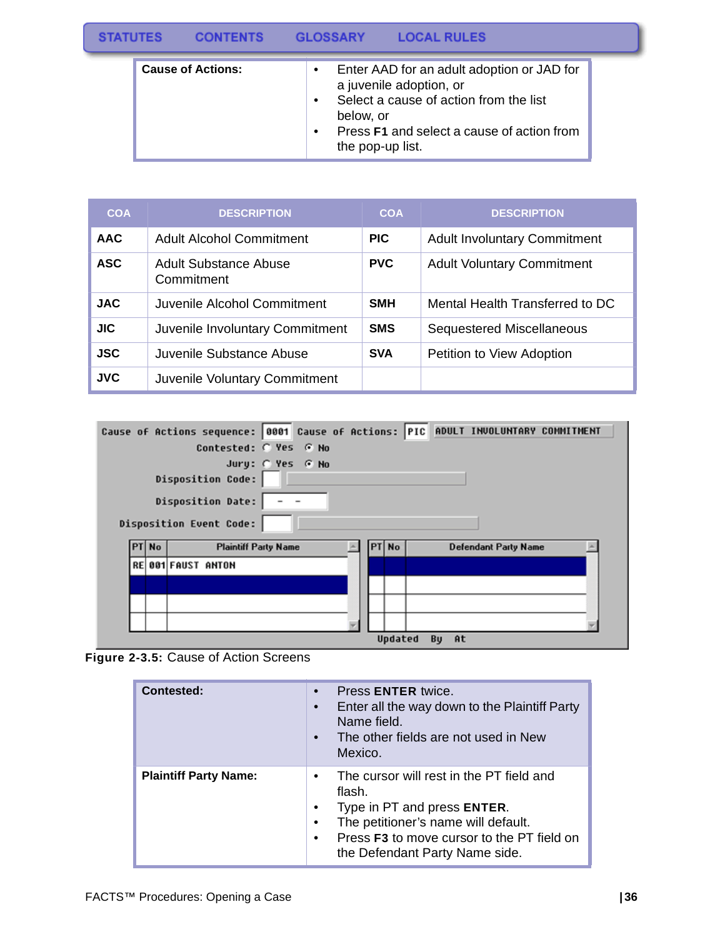|  |                          |   | GLOSSARY                      |                                                                                                                                                               |  |
|--|--------------------------|---|-------------------------------|---------------------------------------------------------------------------------------------------------------------------------------------------------------|--|
|  | <b>Cause of Actions:</b> | ٠ | below, or<br>the pop-up list. | Enter AAD for an adult adoption or JAD for<br>a juvenile adoption, or<br>Select a cause of action from the list<br>Press F1 and select a cause of action from |  |

| <b>COA</b> | <b>DESCRIPTION</b>                  | <b>COA</b> | <b>DESCRIPTION</b>                  |
|------------|-------------------------------------|------------|-------------------------------------|
| <b>AAC</b> | <b>Adult Alcohol Commitment</b>     | <b>PIC</b> | <b>Adult Involuntary Commitment</b> |
| <b>ASC</b> | Adult Substance Abuse<br>Commitment | <b>PVC</b> | <b>Adult Voluntary Commitment</b>   |
| <b>JAC</b> | Juvenile Alcohol Commitment         | <b>SMH</b> | Mental Health Transferred to DC     |
| <b>JIC</b> | Juvenile Involuntary Commitment     | <b>SMS</b> | <b>Sequestered Miscellaneous</b>    |
| <b>JSC</b> | Juvenile Substance Abuse            | <b>SVA</b> | Petition to View Adoption           |
| <b>JVC</b> | Juvenile Voluntary Commitment       |            |                                     |

|  |       | Cause of Actions sequence: 0001 Cause of Actions: PIC ADULT INVOLUNTARY COMMITMENT    |  |       |  |                             |  |
|--|-------|---------------------------------------------------------------------------------------|--|-------|--|-----------------------------|--|
|  |       | Contested: C Yes G No                                                                 |  |       |  |                             |  |
|  |       | Jury: @ Yes @ No<br>Disposition Code:<br>Disposition Date:<br>Disposition Event Code: |  |       |  |                             |  |
|  |       |                                                                                       |  |       |  |                             |  |
|  | PT No | <b>Plaintiff Party Name</b>                                                           |  | PT No |  | <b>Defendant Party Name</b> |  |
|  |       | <b>RE 001 FAUST ANTON</b>                                                             |  |       |  |                             |  |
|  |       |                                                                                       |  |       |  |                             |  |
|  |       |                                                                                       |  |       |  |                             |  |
|  |       |                                                                                       |  |       |  |                             |  |

**Figure 2-3.5:** Cause of Action Screens

| Contested:                   | Press ENTER twice.<br>Enter all the way down to the Plaintiff Party<br>Name field.<br>The other fields are not used in New<br>Mexico.                                                                                                |
|------------------------------|--------------------------------------------------------------------------------------------------------------------------------------------------------------------------------------------------------------------------------------|
| <b>Plaintiff Party Name:</b> | The cursor will rest in the PT field and<br>$\bullet$<br>flash.<br>Type in PT and press ENTER.<br>٠<br>The petitioner's name will default.<br>٠<br>Press F3 to move cursor to the PT field on<br>٠<br>the Defendant Party Name side. |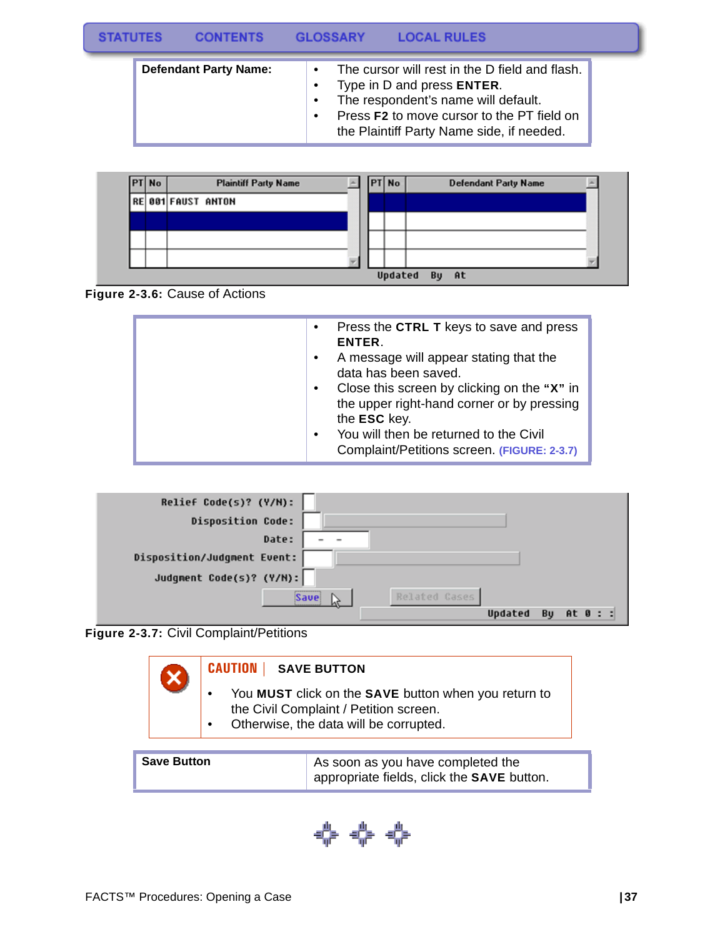|  | <b>LOCAL RULES</b> | <b>GLOSSARY</b> | <b>CONTENTS</b> | <b>STATUTES</b> |
|--|--------------------|-----------------|-----------------|-----------------|
|--|--------------------|-----------------|-----------------|-----------------|

| <b>Defendant Party Name:</b> | The cursor will rest in the D field and flash.<br>$\bullet$<br>Type in D and press <b>ENTER</b> .<br>The respondent's name will default.<br>Press F2 to move cursor to the PT field on |
|------------------------------|----------------------------------------------------------------------------------------------------------------------------------------------------------------------------------------|
|                              | the Plaintiff Party Name side, if needed.                                                                                                                                              |

| <b>PT</b> No | <b>Plaintiff Party Name</b> | PT No   |    | <b>Defendant Party Name</b> |  |
|--------------|-----------------------------|---------|----|-----------------------------|--|
|              | <b>REB91FAUST ANTON</b>     |         |    |                             |  |
|              |                             |         |    |                             |  |
|              |                             |         |    |                             |  |
|              |                             |         |    |                             |  |
|              |                             | Updated | Bu | <b>At</b>                   |  |



| Press the CTRL T keys to save and press<br>$\bullet$<br>ENTER.                                         |
|--------------------------------------------------------------------------------------------------------|
| A message will appear stating that the<br>$\bullet$<br>data has been saved.                            |
| Close this screen by clicking on the "X" in<br>$\bullet$<br>the upper right-hand corner or by pressing |
| the ESC key.                                                                                           |
| You will then be returned to the Civil<br>$\bullet$                                                    |
| Complaint/Petitions screen. (FIGURE: 2-3.7)                                                            |

| Relief Code(s)? (Y/N):      |                           |
|-----------------------------|---------------------------|
| <b>Disposition Code:</b>    |                           |
| Date:                       |                           |
| Disposition/Judgment Event: |                           |
| Judgment Code(s)? (Y/M):    |                           |
|                             | Related Cases<br>Save     |
|                             | At 0 : :<br>Updated<br>Bu |



| <b>CAUTION</b>   SAVE BUTTON                                                                                                             |
|------------------------------------------------------------------------------------------------------------------------------------------|
| You MUST click on the SAVE button when you return to<br>the Civil Complaint / Petition screen.<br>Otherwise, the data will be corrupted. |

| <b>Save Button</b> | As soon as you have completed the<br>appropriate fields, click the SAVE button. |
|--------------------|---------------------------------------------------------------------------------|
|                    |                                                                                 |

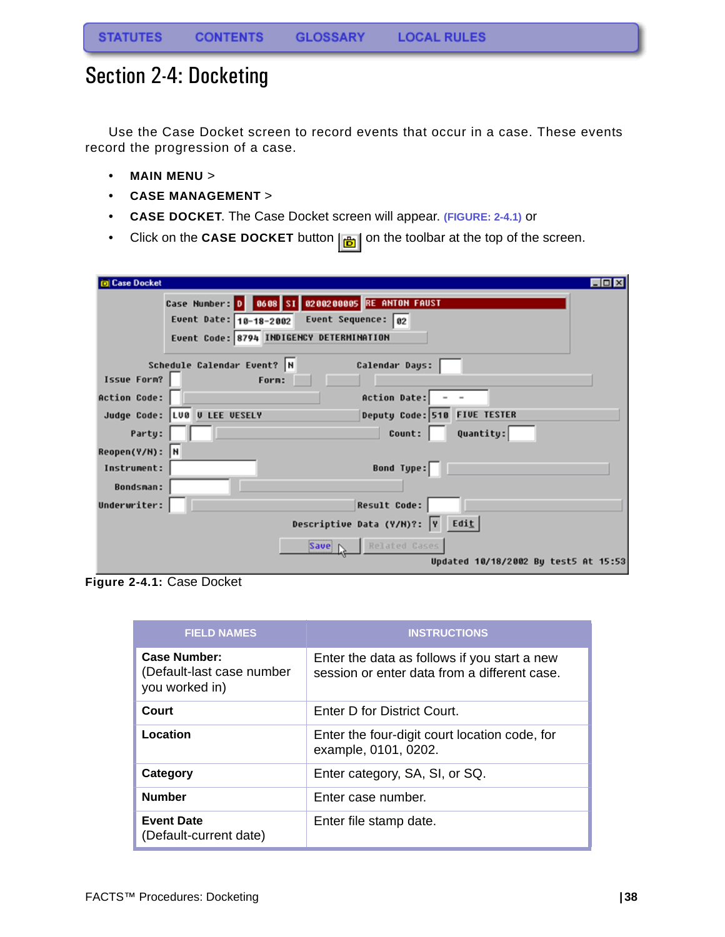## <span id="page-38-0"></span>Section 2-4: Docketing

Use the Case Docket screen to record events that occur in a case. These events record the progression of a case.

- **MAIN MENU** >
- **CASE MANAGEMENT** >
- **CASE DOCKET**. The Case Docket screen will appear. **(FIGURE: 2-4.1)** or
- Click on the **CASE DOCKET** button  $\left| \frac{1}{\mathbf{b}} \right|$  on the toolbar at the top of the screen.

| <b>Case Docket</b>  |                                                              |
|---------------------|--------------------------------------------------------------|
|                     | Case Numbers D   0608 SI 0200200005 RE ANTON FAUST           |
|                     | Event Date: $10-18-2002$ Event Sequence: 02                  |
|                     | Event Code: 8794 INDIGENCY DETERMINATION                     |
|                     |                                                              |
|                     | Schedule Calendar Event? N<br>Calendar Days:                 |
| Issue Form?         | Form:                                                        |
| <b>Action Code:</b> | Action Date:                                                 |
|                     | Deputy Code: 510 FIVE TESTER<br>Judge Code: LUB U LEE VESELY |
| Party:              | Count:<br>Quantity:                                          |
| Reopen(Y/N): N      |                                                              |
| Instrument:         | Bond Type:                                                   |
| <b>Bondsman:</b>    |                                                              |
| Underwriter:        | <b>Result Code:</b>                                          |
|                     | Descriptive Data (Y/M)?: $\boxed{v}$ Edit                    |
|                     | Save \ Related Cases                                         |
|                     | Updated 10/18/2002 By test5 At 15:53                         |

**Figure 2-4.1:** Case Docket

| <b>FIELD NAMES</b>                                          | <b>INSTRUCTIONS</b>                                                                          |
|-------------------------------------------------------------|----------------------------------------------------------------------------------------------|
| Case Number:<br>(Default-last case number<br>you worked in) | Enter the data as follows if you start a new<br>session or enter data from a different case. |
| Court                                                       | Enter D for District Court.                                                                  |
| Location                                                    | Enter the four-digit court location code, for<br>example, 0101, 0202.                        |
| Category                                                    | Enter category, SA, SI, or SQ.                                                               |
| <b>Number</b>                                               | Enter case number.                                                                           |
| <b>Event Date</b><br>(Default-current date)                 | Enter file stamp date.                                                                       |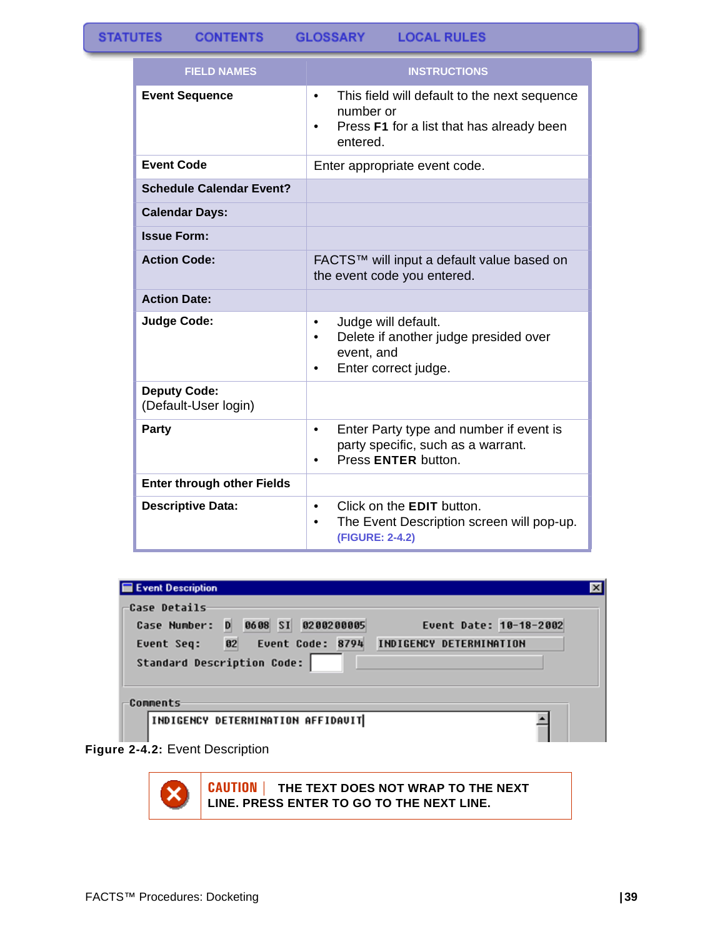| <b>FIELD NAMES</b>                          | <b>INSTRUCTIONS</b>                                                                                                               |  |
|---------------------------------------------|-----------------------------------------------------------------------------------------------------------------------------------|--|
| <b>Event Sequence</b>                       | This field will default to the next sequence<br>$\bullet$<br>number or<br>Press F1 for a list that has already been<br>entered.   |  |
| <b>Event Code</b>                           | Enter appropriate event code.                                                                                                     |  |
| <b>Schedule Calendar Event?</b>             |                                                                                                                                   |  |
| <b>Calendar Days:</b>                       |                                                                                                                                   |  |
| <b>Issue Form:</b>                          |                                                                                                                                   |  |
| <b>Action Code:</b>                         | FACTS™ will input a default value based on<br>the event code you entered.                                                         |  |
| <b>Action Date:</b>                         |                                                                                                                                   |  |
| <b>Judge Code:</b>                          | Judge will default.<br>$\bullet$<br>Delete if another judge presided over<br>$\bullet$<br>event, and<br>Enter correct judge.<br>٠ |  |
| <b>Deputy Code:</b><br>(Default-User login) |                                                                                                                                   |  |
| Party                                       | Enter Party type and number if event is<br>$\bullet$<br>party specific, such as a warrant.<br>Press ENTER button.                 |  |
| <b>Enter through other Fields</b>           |                                                                                                                                   |  |
| <b>Descriptive Data:</b>                    | Click on the <b>EDIT</b> button.<br>$\bullet$<br>The Event Description screen will pop-up.<br>(FIGURE: 2-4.2)                     |  |

#### Event Description Case Details-Case Number: D 0608 SI 0200200005 Event Date: 10-18-2002 Event Seq: 02 Event Code: 8794 INDIGENCY DETERMINATION Standard Description Code: |

Comments-

INDIGENCY DETERMINATION AFFIDAVIT



**CAUTION | THE TEXT DOES NOT WRAP TO THE NEXT LINE. PRESS ENTER TO GO TO THE NEXT LINE.**

 $\vert x \vert$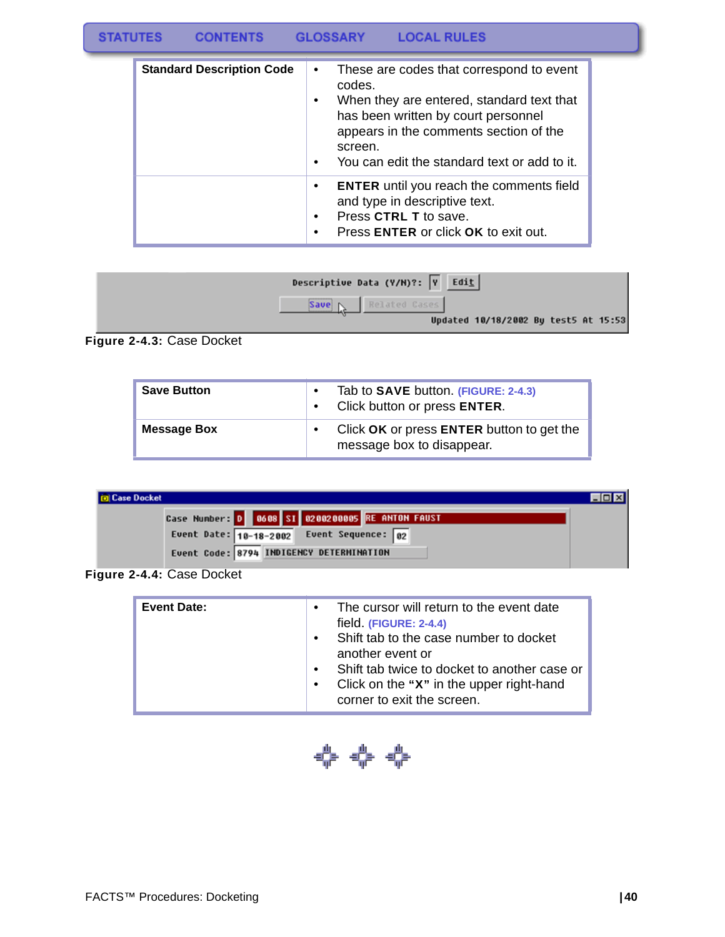#### **STATUTES CONTENTS GLOSSARY LOCAL RULES**

| <b>Standard Description Code</b> | These are codes that correspond to event<br>$\bullet$<br>codes.<br>When they are entered, standard text that<br>$\bullet$<br>has been written by court personnel<br>appears in the comments section of the<br>screen.<br>You can edit the standard text or add to it.<br>$\bullet$ |
|----------------------------------|------------------------------------------------------------------------------------------------------------------------------------------------------------------------------------------------------------------------------------------------------------------------------------|
|                                  | <b>ENTER</b> until you reach the comments field<br>$\bullet$<br>and type in descriptive text.<br>Press CTRL T to save.<br>$\bullet$<br>Press <b>ENTER</b> or click <b>OK</b> to exit out.                                                                                          |

| Descriptive Data (Y/H)?: $\boxed{Y}$ Edit |                                      |  |  |
|-------------------------------------------|--------------------------------------|--|--|
| Related Cases<br>Save N                   |                                      |  |  |
|                                           | Updated 10/18/2002 By test5 At 15:53 |  |  |

**Figure 2-4.3:** Case Docket

| <b>Save Button</b> | Tab to <b>SAVE</b> button. (FIGURE: 2-4.3)<br>Click button or press ENTER. |
|--------------------|----------------------------------------------------------------------------|
| <b>Message Box</b> | Click OK or press ENTER button to get the<br>message box to disappear.     |

| <b>D</b> Case Docket                               |  |
|----------------------------------------------------|--|
| Case Numbers D   0608 SI 0200200005 RE ANTON FAUST |  |
| Event Date: $10-18-2002$ Event Sequence: 02        |  |
| Event Code: 8794 INDIGENCY DETERMINATION           |  |

**Figure 2-4.4:** Case Docket

| The cursor will return to the event date<br>$\bullet$ |
|-------------------------------------------------------|
| field (FIGURE: 2-4.4)                                 |
| Shift tab to the case number to docket<br>$\bullet$   |
|                                                       |
| another event or                                      |
| Shift tab twice to docket to another case or          |
| Click on the "X" in the upper right-hand<br>$\bullet$ |
| corner to exit the screen.                            |
|                                                       |

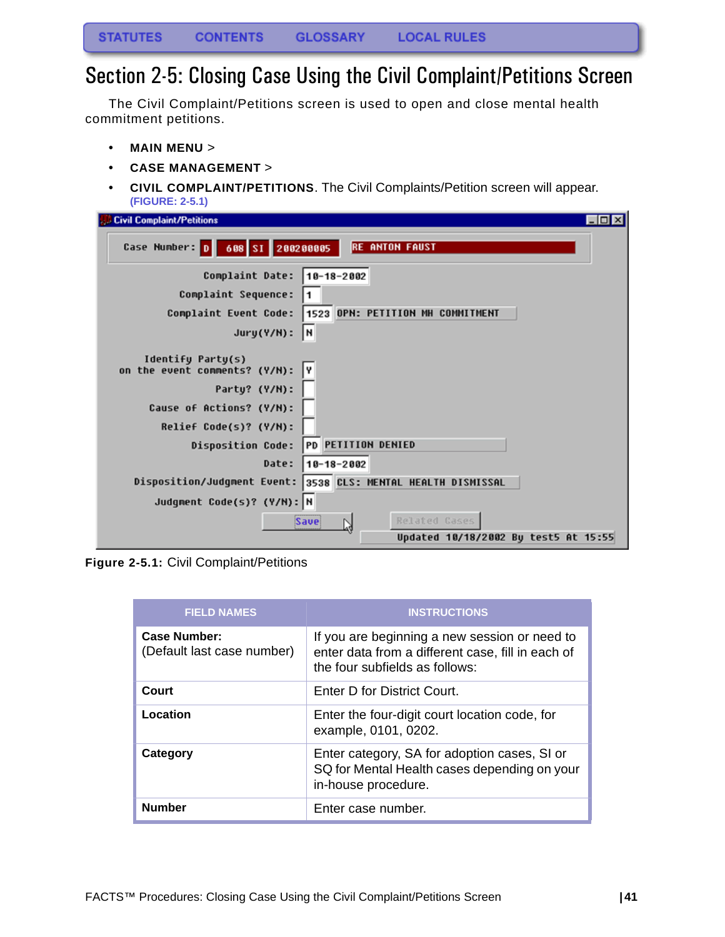### <span id="page-41-0"></span>Section 2-5: Closing Case Using the Civil Complaint/Petitions Screen

The Civil Complaint/Petitions screen is used to open and close mental health commitment petitions.

- **MAIN MENU** >
- **CASE MANAGEMENT** >
- **CIVIL COMPLAINT/PETITIONS**. The Civil Complaints/Petition screen will appear. **(FIGURE: 2-5.1)**

| <b>Civil Complaint/Petitions</b>                                                                                  | $\Box$ o $\mathbf{x}$ |
|-------------------------------------------------------------------------------------------------------------------|-----------------------|
| Case Number: D<br><b>RE ANTON FAUST</b><br>608 SI 200200005                                                       |                       |
| Complaint Date:<br>10-18-2002<br>Complaint Sequence:<br>1523 OPN: PETITION MH COMMITMENT<br>Complaint Event Code: |                       |
| l۲<br>$Jury(Y/N)$ :                                                                                               |                       |
| Identify Party(s)<br>on the event comments? (Y/N):<br>I۷                                                          |                       |
| Party? (Y/N):<br>Cause of Actions? (Y/N):                                                                         |                       |
| Relief Code(s)? (Y/N):                                                                                            |                       |
| PD PETITION DENIED<br><b>Disposition Code:</b>                                                                    |                       |
| Date:<br>10-18-2002                                                                                               |                       |
| 3538 CLS: MENTAL HEALTH DISMISSAL<br>Disposition/Judgment Event:                                                  |                       |
| Judgment Code(s)? (Y/N): N                                                                                        |                       |
| Related Cases<br><b>Save</b>                                                                                      |                       |
| Updated 10/18/2002 By test5 At 15:55                                                                              |                       |

**Figure 2-5.1:** Civil Complaint/Petitions

| <b>FIELD NAMES</b>                         | <b>INSTRUCTIONS</b>                                                                                                                  |
|--------------------------------------------|--------------------------------------------------------------------------------------------------------------------------------------|
| Case Number:<br>(Default last case number) | If you are beginning a new session or need to<br>enter data from a different case, fill in each of<br>the four subfields as follows: |
| Court                                      | Enter D for District Court.                                                                                                          |
| Location                                   | Enter the four-digit court location code, for<br>example, 0101, 0202.                                                                |
| Category                                   | Enter category, SA for adoption cases, SI or<br>SQ for Mental Health cases depending on your<br>in-house procedure.                  |
| <b>Number</b>                              | Enter case number.                                                                                                                   |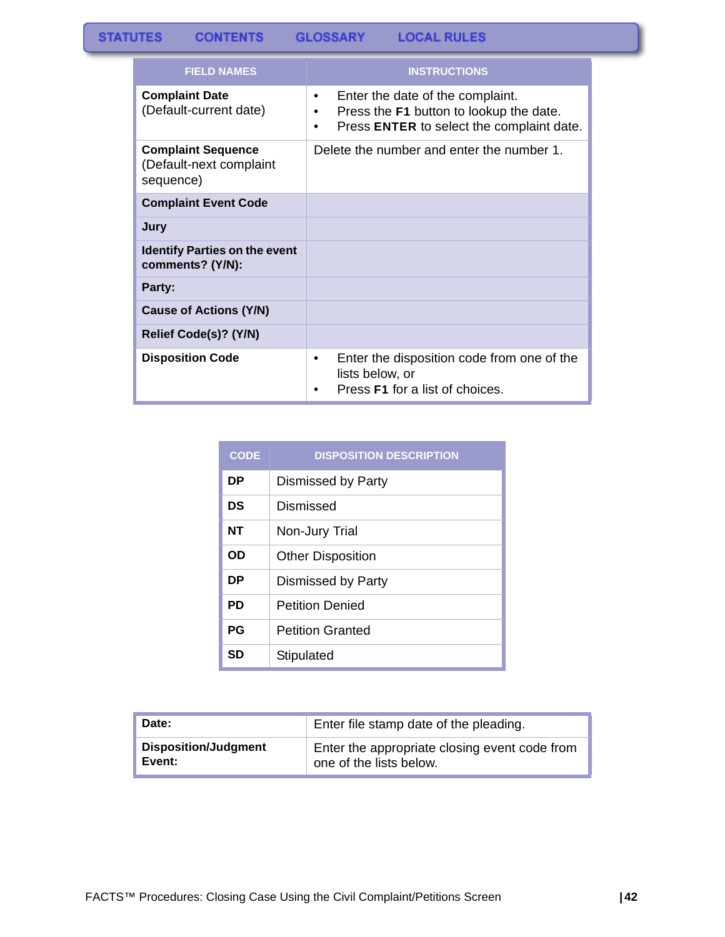#### **STATUTES CONTENTS GLOSSARY LOCAL RULES**

| <b>FIELD NAMES</b>                                                | <b>INSTRUCTIONS</b>                                                                                                                             |
|-------------------------------------------------------------------|-------------------------------------------------------------------------------------------------------------------------------------------------|
| <b>Complaint Date</b><br>(Default-current date)                   | Enter the date of the complaint.<br>$\bullet$<br>Press the F1 button to lookup the date.<br>٠<br>Press ENTER to select the complaint date.<br>٠ |
| <b>Complaint Sequence</b><br>(Default-next complaint<br>sequence) | Delete the number and enter the number 1.                                                                                                       |
| <b>Complaint Event Code</b>                                       |                                                                                                                                                 |
| Jury                                                              |                                                                                                                                                 |
| <b>Identify Parties on the event</b><br>comments? (Y/N):          |                                                                                                                                                 |
| Party:                                                            |                                                                                                                                                 |
| <b>Cause of Actions (Y/N)</b>                                     |                                                                                                                                                 |
| Relief Code(s)? (Y/N)                                             |                                                                                                                                                 |
| <b>Disposition Code</b>                                           | Enter the disposition code from one of the<br>٠<br>lists below, or<br>Press <b>F1</b> for a list of choices.                                    |

| <b>CODE</b> | <b>DISPOSITION DESCRIPTION</b> |
|-------------|--------------------------------|
| DP          | Dismissed by Party             |
| DS          | Dismissed                      |
| NT          | Non-Jury Trial                 |
| OD          | <b>Other Disposition</b>       |
| DР          | Dismissed by Party             |
| PD          | <b>Petition Denied</b>         |
| <b>PG</b>   | <b>Petition Granted</b>        |
| SD          | Stipulated                     |

| Date:                       | Enter file stamp date of the pleading.        |  |
|-----------------------------|-----------------------------------------------|--|
| <b>Disposition/Judgment</b> | Enter the appropriate closing event code from |  |
| Event:                      | one of the lists below.                       |  |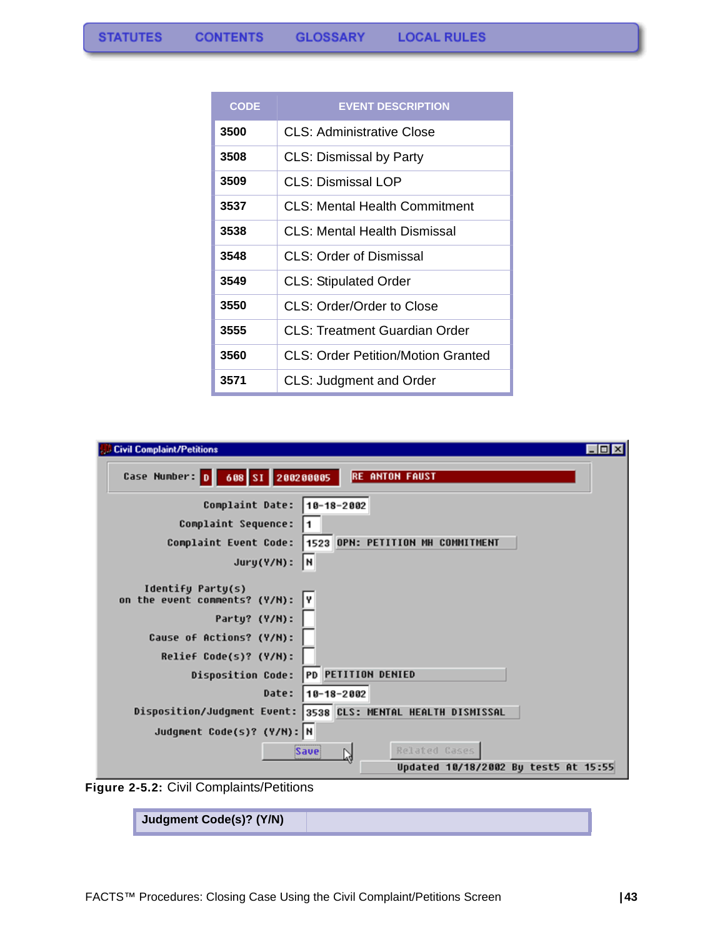| <b>CODE</b> | <b>EVENT DESCRIPTION</b>            |
|-------------|-------------------------------------|
| 3500        | CLS: Administrative Close           |
| 3508        | <b>CLS: Dismissal by Party</b>      |
| 3509        | CLS: Dismissal LOP                  |
| 3537        | CLS: Mental Health Commitment       |
| 3538        | <b>CLS: Mental Health Dismissal</b> |
| 3548        | <b>CLS: Order of Dismissal</b>      |
| 3549        | <b>CLS: Stipulated Order</b>        |
| 3550        | CLS: Order/Order to Close           |
| 3555        | CLS: Treatment Guardian Order       |
| 3560        | CLS: Order Petition/Motion Granted  |
| 3571        | <b>CLS: Judgment and Order</b>      |

| <b>Civil Complaint/Petitions</b><br>$   \times$                                                                                                                                                               |
|---------------------------------------------------------------------------------------------------------------------------------------------------------------------------------------------------------------|
| Case Number: 0 688 SI 200200005<br><b>RE ANTON FAUST</b>                                                                                                                                                      |
| Complaint Date:<br>$10 - 18 - 2002$<br>Complaint Sequence:<br>1523 OPN: PETITION MH COMMITMENT<br>Complaint Event Code:<br>l۲<br>$Jury(Y/N)$ :                                                                |
| Identify Party(s)<br>on the event comments? (Y/N):<br>Y<br>Party? (Y/N):<br>Cause of Actions? (Y/N):<br>Relief Code(s)? (Y/N):<br>PD PETITION DENIED<br><b>Disposition Code:</b><br>Date:<br>$10 - 18 - 2002$ |
| Disposition/Judgment Event: 3538 CLS: MENTAL HEALTH DISMISSAL<br>Judgment Code(s)? (Y/N): N<br>Related Cases<br>Save<br>W<br>Updated 10/18/2002 By test5 At 15:55                                             |

**Figure 2-5.2:** Civil Complaints/Petitions

| Judgment Code(s)? (Y/N) |  |
|-------------------------|--|
|-------------------------|--|